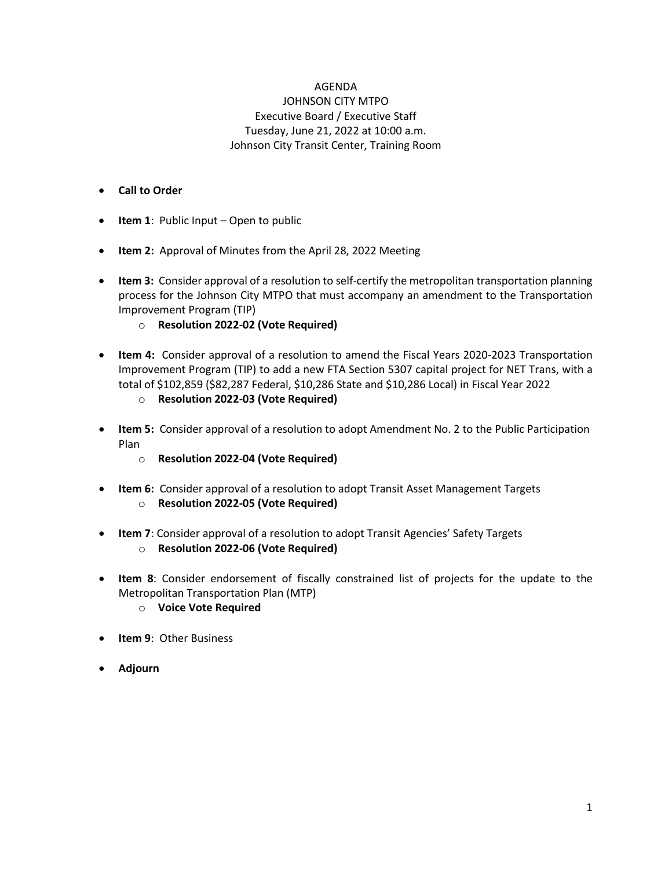#### AGENDA

#### JOHNSON CITY MTPO Executive Board / Executive Staff Tuesday, June 21, 2022 at 10:00 a.m. Johnson City Transit Center, Training Room

#### • **Call to Order**

- **Item 1**[: Public Input –](#page-1-0) Open to public
- **Item 2:** [Approval of Minutes from the April 28, 2022](#page-1-0) Meeting
- **Item 3:** Consider approval of a resolution to self-certify the metropolitan transportation planning [process for the Johnson City MTPO that must accompany an amendment to the Transportation](#page-7-0) Improvement Program (TIP)
	- o **[Resolution 2022-02](#page-8-0) (Vote Required)**
- **Item 4:** Consider approval of a resolution to amend the Fiscal Years 2020-2023 Transportation [Improvement Program \(TIP\) to add a new FTA Section 5307 capital project for NET Trans, with a](#page-9-0) total of \$102,859 (\$82,287 Federal, \$10,286 State and \$10,286 Local) in Fiscal Year 2022
	- o **[Resolution 2022-03](#page-13-0) (Vote Required)**
- **Item 5:** [Consider approval of a resolution to adopt Amendment No. 2 to the Public Participation](#page-14-0)  Plan
	- o **[Resolution 2022-04](#page-16-0) (Vote Required)**
- **Item 6:** [Consider approval of a resolution to adopt Transit Asset Management Targets](#page-17-0) o **[Resolution 2022-05](#page-18-0) (Vote Required)**
- **Item 7**[: Consider approval of a resolution to adopt Transit Agencies' Safety Targets](#page-20-0)
	- o **[Resolution 2022-06](#page-21-0) (Vote Required)**
- **Item 8**[: Consider endorsement of fiscally constrained list of projects for the update to the](#page-23-0) Metropolitan Transportation Plan (MTP)
	- o **Voice Vote Required**
- **Item 9**[: Other Business](#page-32-0)
- **Adjourn**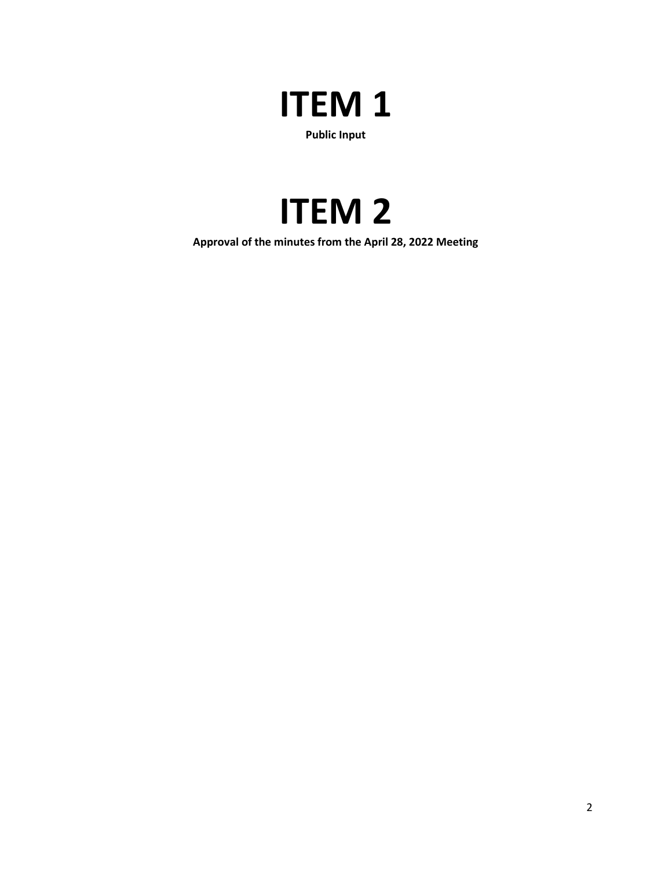## <span id="page-1-0"></span>**ITEM 1 Public Input**

## **ITEM 2**

**Approval of the minutes from the April 28, 2022 Meeting**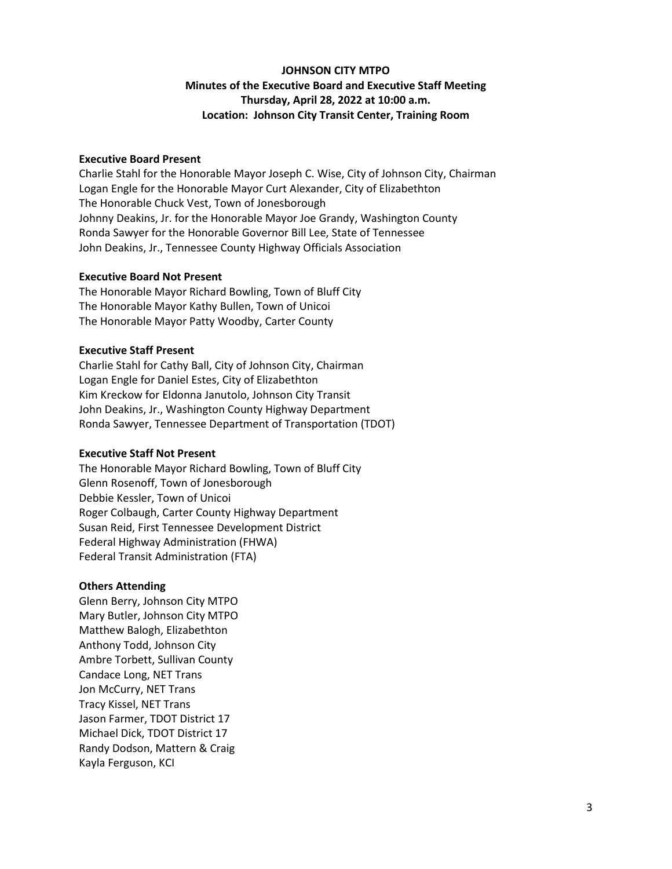#### **JOHNSON CITY MTPO Minutes of the Executive Board and Executive Staff Meeting Thursday, April 28, 2022 at 10:00 a.m. Location: Johnson City Transit Center, Training Room**

#### **Executive Board Present**

Charlie Stahl for the Honorable Mayor Joseph C. Wise, City of Johnson City, Chairman Logan Engle for the Honorable Mayor Curt Alexander, City of Elizabethton The Honorable Chuck Vest, Town of Jonesborough Johnny Deakins, Jr. for the Honorable Mayor Joe Grandy, Washington County Ronda Sawyer for the Honorable Governor Bill Lee, State of Tennessee John Deakins, Jr., Tennessee County Highway Officials Association

#### **Executive Board Not Present**

The Honorable Mayor Richard Bowling, Town of Bluff City The Honorable Mayor Kathy Bullen, Town of Unicoi The Honorable Mayor Patty Woodby, Carter County

#### **Executive Staff Present**

Charlie Stahl for Cathy Ball, City of Johnson City, Chairman Logan Engle for Daniel Estes, City of Elizabethton Kim Kreckow for Eldonna Janutolo, Johnson City Transit John Deakins, Jr., Washington County Highway Department Ronda Sawyer, Tennessee Department of Transportation (TDOT)

#### **Executive Staff Not Present**

The Honorable Mayor Richard Bowling, Town of Bluff City Glenn Rosenoff, Town of Jonesborough Debbie Kessler, Town of Unicoi Roger Colbaugh, Carter County Highway Department Susan Reid, First Tennessee Development District Federal Highway Administration (FHWA) Federal Transit Administration (FTA)

#### **Others Attending**

Glenn Berry, Johnson City MTPO Mary Butler, Johnson City MTPO Matthew Balogh, Elizabethton Anthony Todd, Johnson City Ambre Torbett, Sullivan County Candace Long, NET Trans Jon McCurry, NET Trans Tracy Kissel, NET Trans Jason Farmer, TDOT District 17 Michael Dick, TDOT District 17 Randy Dodson, Mattern & Craig Kayla Ferguson, KCI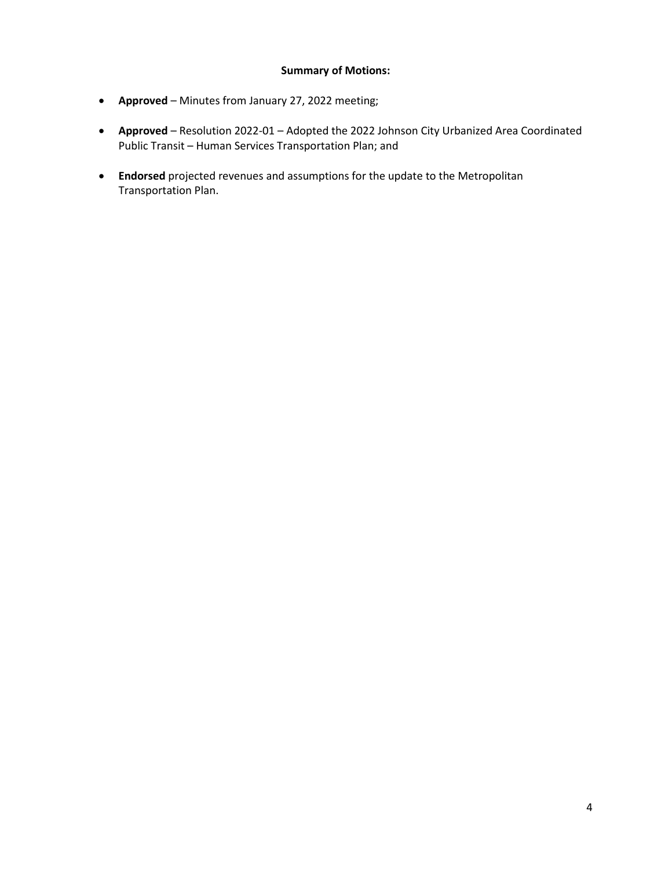#### **Summary of Motions:**

- **Approved** Minutes from January 27, 2022 meeting;
- **Approved**  Resolution 2022-01 Adopted the 2022 Johnson City Urbanized Area Coordinated Public Transit – Human Services Transportation Plan; and
- **Endorsed** projected revenues and assumptions for the update to the Metropolitan Transportation Plan.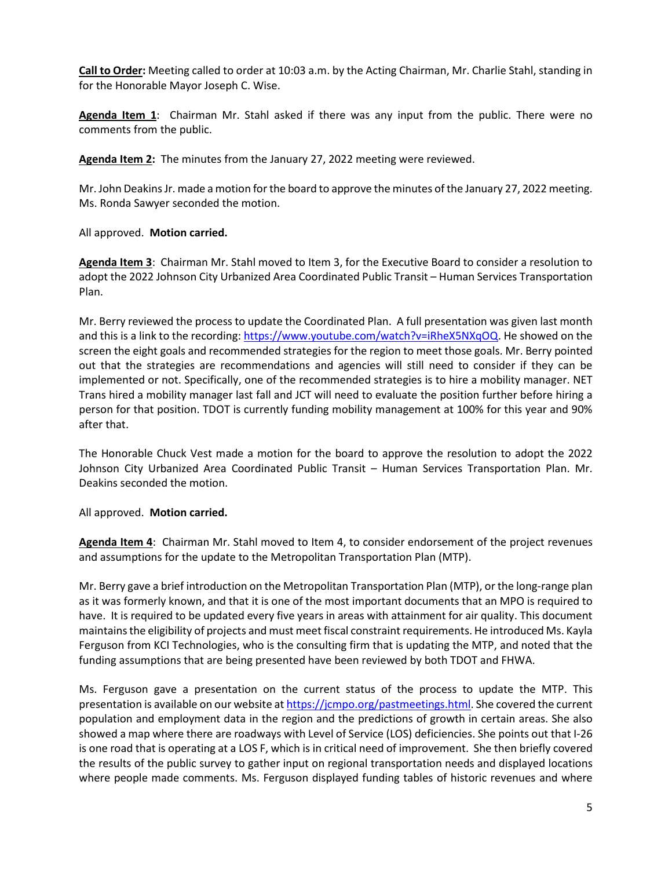**Call to Order:** Meeting called to order at 10:03 a.m. by the Acting Chairman, Mr. Charlie Stahl, standing in for the Honorable Mayor Joseph C. Wise.

**Agenda Item 1**: Chairman Mr. Stahl asked if there was any input from the public. There were no comments from the public.

**Agenda Item 2:** The minutes from the January 27, 2022 meeting were reviewed.

Mr. John Deakins Jr. made a motion for the board to approve the minutes of the January 27, 2022 meeting. Ms. Ronda Sawyer seconded the motion.

All approved. **Motion carried.**

**Agenda Item 3**: Chairman Mr. Stahl moved to Item 3, for the Executive Board to consider a resolution to adopt the 2022 Johnson City Urbanized Area Coordinated Public Transit – Human Services Transportation Plan.

Mr. Berry reviewed the process to update the Coordinated Plan. A full presentation was given last month and this is a link to the recording: [https://www.youtube.com/watch?v=iRheX5NXqOQ.](https://www.youtube.com/watch?v=iRheX5NXqOQ) He showed on the screen the eight goals and recommended strategies for the region to meet those goals. Mr. Berry pointed out that the strategies are recommendations and agencies will still need to consider if they can be implemented or not. Specifically, one of the recommended strategies is to hire a mobility manager. NET Trans hired a mobility manager last fall and JCT will need to evaluate the position further before hiring a person for that position. TDOT is currently funding mobility management at 100% for this year and 90% after that.

The Honorable Chuck Vest made a motion for the board to approve the resolution to adopt the 2022 Johnson City Urbanized Area Coordinated Public Transit – Human Services Transportation Plan. Mr. Deakins seconded the motion.

#### All approved. **Motion carried.**

**Agenda Item 4**: Chairman Mr. Stahl moved to Item 4, to consider endorsement of the project revenues and assumptions for the update to the Metropolitan Transportation Plan (MTP).

Mr. Berry gave a brief introduction on the Metropolitan Transportation Plan (MTP), or the long-range plan as it was formerly known, and that it is one of the most important documents that an MPO is required to have. It is required to be updated every five years in areas with attainment for air quality. This document maintains the eligibility of projects and must meet fiscal constraint requirements. He introduced Ms. Kayla Ferguson from KCI Technologies, who is the consulting firm that is updating the MTP, and noted that the funding assumptions that are being presented have been reviewed by both TDOT and FHWA.

Ms. Ferguson gave a presentation on the current status of the process to update the MTP. This presentation is available on our website a[t https://jcmpo.org/pastmeetings.html.](https://jcmpo.org/pastmeetings.html) She covered the current population and employment data in the region and the predictions of growth in certain areas. She also showed a map where there are roadways with Level of Service (LOS) deficiencies. She points out that I-26 is one road that is operating at a LOS F, which is in critical need of improvement. She then briefly covered the results of the public survey to gather input on regional transportation needs and displayed locations where people made comments. Ms. Ferguson displayed funding tables of historic revenues and where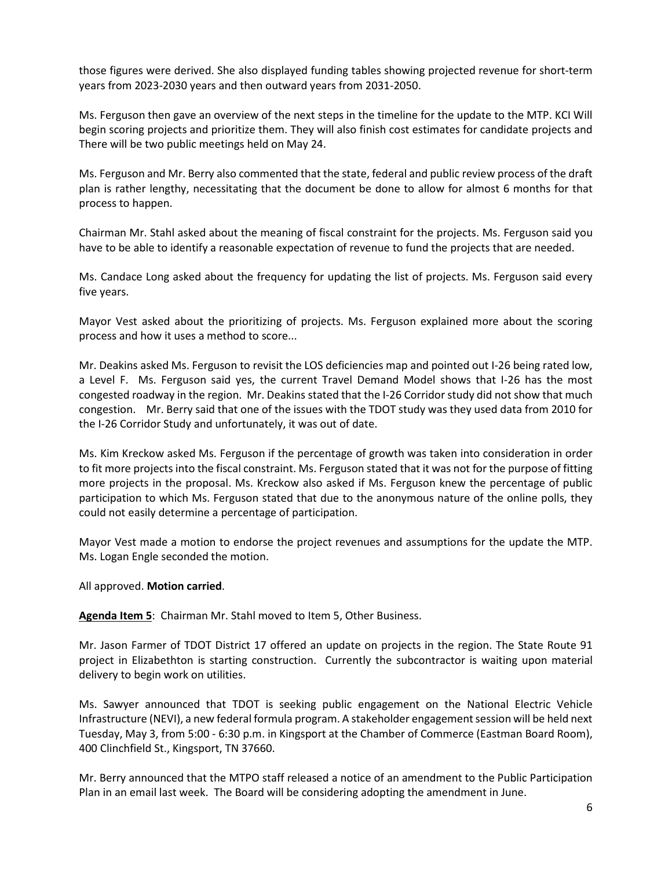those figures were derived. She also displayed funding tables showing projected revenue for short-term years from 2023-2030 years and then outward years from 2031-2050.

Ms. Ferguson then gave an overview of the next steps in the timeline for the update to the MTP. KCI Will begin scoring projects and prioritize them. They will also finish cost estimates for candidate projects and There will be two public meetings held on May 24.

Ms. Ferguson and Mr. Berry also commented that the state, federal and public review process of the draft plan is rather lengthy, necessitating that the document be done to allow for almost 6 months for that process to happen.

Chairman Mr. Stahl asked about the meaning of fiscal constraint for the projects. Ms. Ferguson said you have to be able to identify a reasonable expectation of revenue to fund the projects that are needed.

Ms. Candace Long asked about the frequency for updating the list of projects. Ms. Ferguson said every five years.

Mayor Vest asked about the prioritizing of projects. Ms. Ferguson explained more about the scoring process and how it uses a method to score...

Mr. Deakins asked Ms. Ferguson to revisit the LOS deficiencies map and pointed out I-26 being rated low, a Level F. Ms. Ferguson said yes, the current Travel Demand Model shows that I-26 has the most congested roadway in the region. Mr. Deakins stated that the I-26 Corridor study did not show that much congestion. Mr. Berry said that one of the issues with the TDOT study was they used data from 2010 for the I-26 Corridor Study and unfortunately, it was out of date.

Ms. Kim Kreckow asked Ms. Ferguson if the percentage of growth was taken into consideration in order to fit more projects into the fiscal constraint. Ms. Ferguson stated that it was not for the purpose of fitting more projects in the proposal. Ms. Kreckow also asked if Ms. Ferguson knew the percentage of public participation to which Ms. Ferguson stated that due to the anonymous nature of the online polls, they could not easily determine a percentage of participation.

Mayor Vest made a motion to endorse the project revenues and assumptions for the update the MTP. Ms. Logan Engle seconded the motion.

All approved. **Motion carried**.

**Agenda Item 5**: Chairman Mr. Stahl moved to Item 5, Other Business.

Mr. Jason Farmer of TDOT District 17 offered an update on projects in the region. The State Route 91 project in Elizabethton is starting construction. Currently the subcontractor is waiting upon material delivery to begin work on utilities.

Ms. Sawyer announced that TDOT is seeking public engagement on the National Electric Vehicle Infrastructure (NEVI), a new federal formula program. A stakeholder engagement session will be held next Tuesday, May 3, from 5:00 - 6:30 p.m. in Kingsport at the Chamber of Commerce (Eastman Board Room), 400 Clinchfield St., Kingsport, TN 37660.

Mr. Berry announced that the MTPO staff released a notice of an amendment to the Public Participation Plan in an email last week. The Board will be considering adopting the amendment in June.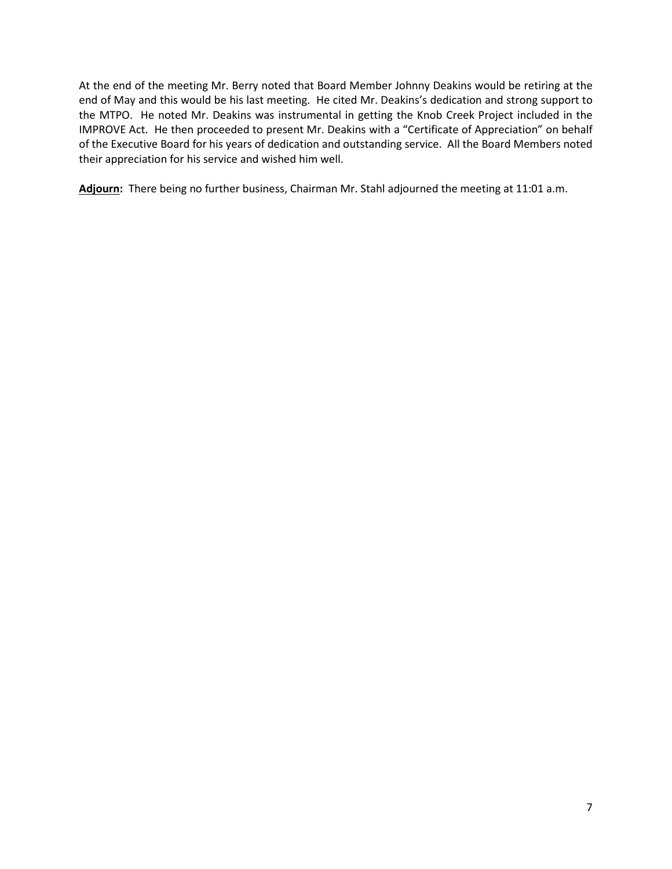At the end of the meeting Mr. Berry noted that Board Member Johnny Deakins would be retiring at the end of May and this would be his last meeting. He cited Mr. Deakins's dedication and strong support to the MTPO. He noted Mr. Deakins was instrumental in getting the Knob Creek Project included in the IMPROVE Act. He then proceeded to present Mr. Deakins with a "Certificate of Appreciation" on behalf of the Executive Board for his years of dedication and outstanding service. All the Board Members noted their appreciation for his service and wished him well.

**Adjourn:** There being no further business, Chairman Mr. Stahl adjourned the meeting at 11:01 a.m.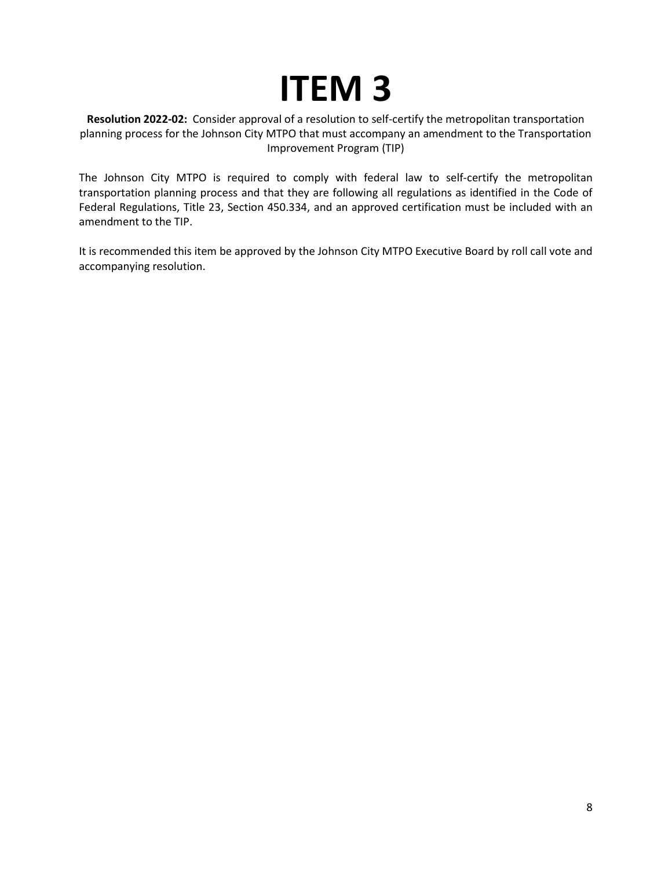# **ITEM 3**

<span id="page-7-0"></span>**Resolution 2022-02:** Consider approval of a resolution to self-certify the metropolitan transportation planning process for the Johnson City MTPO that must accompany an amendment to the Transportation Improvement Program (TIP)

The Johnson City MTPO is required to comply with federal law to self-certify the metropolitan transportation planning process and that they are following all regulations as identified in the Code of Federal Regulations, Title 23, Section 450.334, and an approved certification must be included with an amendment to the TIP.

It is recommended this item be approved by the Johnson City MTPO Executive Board by roll call vote and accompanying resolution.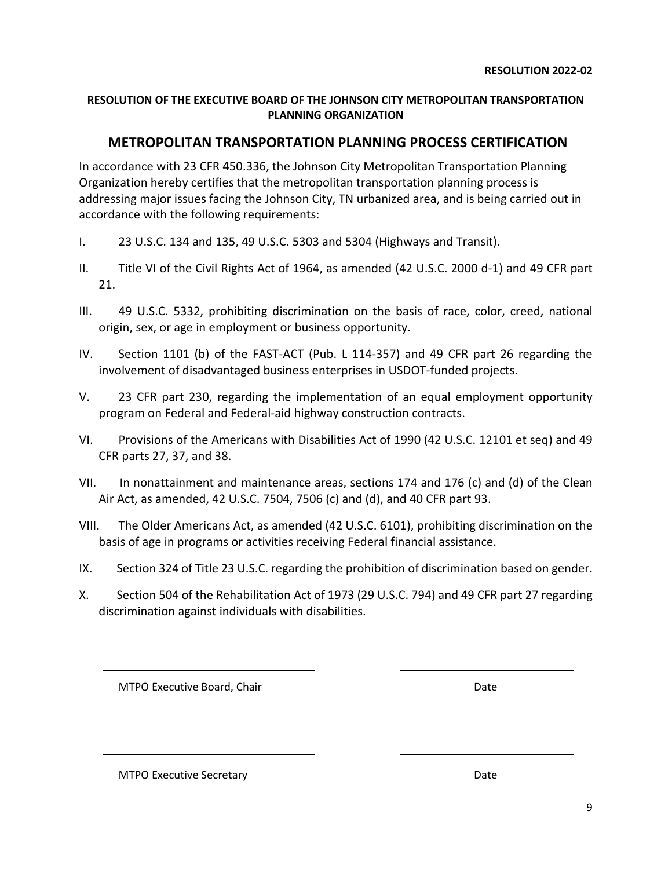#### <span id="page-8-0"></span>**RESOLUTION OF THE EXECUTIVE BOARD OF THE JOHNSON CITY METROPOLITAN TRANSPORTATION PLANNING ORGANIZATION**

#### **METROPOLITAN TRANSPORTATION PLANNING PROCESS CERTIFICATION**

In accordance with 23 CFR 450.336, the Johnson City Metropolitan Transportation Planning Organization hereby certifies that the metropolitan transportation planning process is addressing major issues facing the Johnson City, TN urbanized area, and is being carried out in accordance with the following requirements:

- I. 23 U.S.C. 134 and 135, 49 U.S.C. 5303 and 5304 (Highways and Transit).
- II. Title VI of the Civil Rights Act of 1964, as amended (42 U.S.C. 2000 d-1) and 49 CFR part 21.
- III. 49 U.S.C. 5332, prohibiting discrimination on the basis of race, color, creed, national origin, sex, or age in employment or business opportunity.
- IV. Section 1101 (b) of the FAST-ACT (Pub. L 114-357) and 49 CFR part 26 regarding the involvement of disadvantaged business enterprises in USDOT-funded projects.
- V. 23 CFR part 230, regarding the implementation of an equal employment opportunity program on Federal and Federal-aid highway construction contracts.
- VI. Provisions of the Americans with Disabilities Act of 1990 (42 U.S.C. 12101 et seq) and 49 CFR parts 27, 37, and 38.
- VII. In nonattainment and maintenance areas, sections 174 and 176 (c) and (d) of the Clean Air Act, as amended, 42 U.S.C. 7504, 7506 (c) and (d), and 40 CFR part 93.
- VIII. The Older Americans Act, as amended (42 U.S.C. 6101), prohibiting discrimination on the basis of age in programs or activities receiving Federal financial assistance.
- IX. Section 324 of Title 23 U.S.C. regarding the prohibition of discrimination based on gender.
- X. Section 504 of the Rehabilitation Act of 1973 (29 U.S.C. 794) and 49 CFR part 27 regarding discrimination against individuals with disabilities.

MTPO Executive Board, Chair Date Chair Date Date

MTPO Executive Secretary **Date Date Date**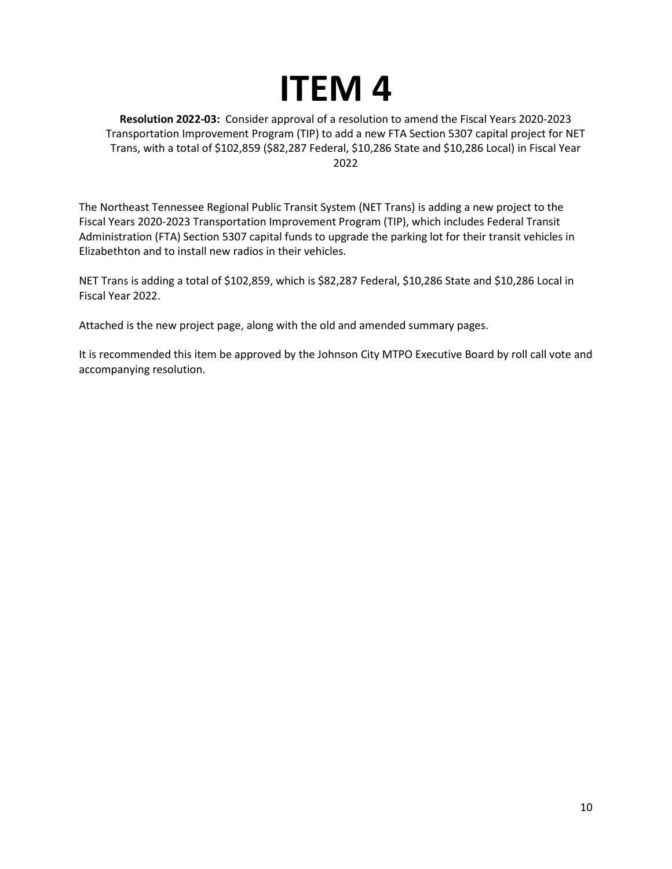## **ITEM 4**

<span id="page-9-0"></span>**Resolution 2022-03:** Consider approval of a resolution to amend the Fiscal Years 2020-2023 Transportation Improvement Program (TIP) to add a new FTA Section 5307 capital project for NET Trans, with a total of \$102,859 (\$82,287 Federal, \$10,286 State and \$10,286 Local) in Fiscal Year 2022

The Northeast Tennessee Regional Public Transit System (NET Trans) is adding a new project to the Fiscal Years 2020-2023 Transportation Improvement Program (TIP), which includes Federal Transit Administration (FTA) Section 5307 capital funds to upgrade the parking lot for their transit vehicles in Elizabethton and to install new radios in their vehicles.

NET Trans is adding a total of \$102,859, which is \$82,287 Federal, \$10,286 State and \$10,286 Local in Fiscal Year 2022.

Attached is the new project page, along with the old and amended summary pages.

It is recommended this item be approved by the Johnson City MTPO Executive Board by roll call vote and accompanying resolution.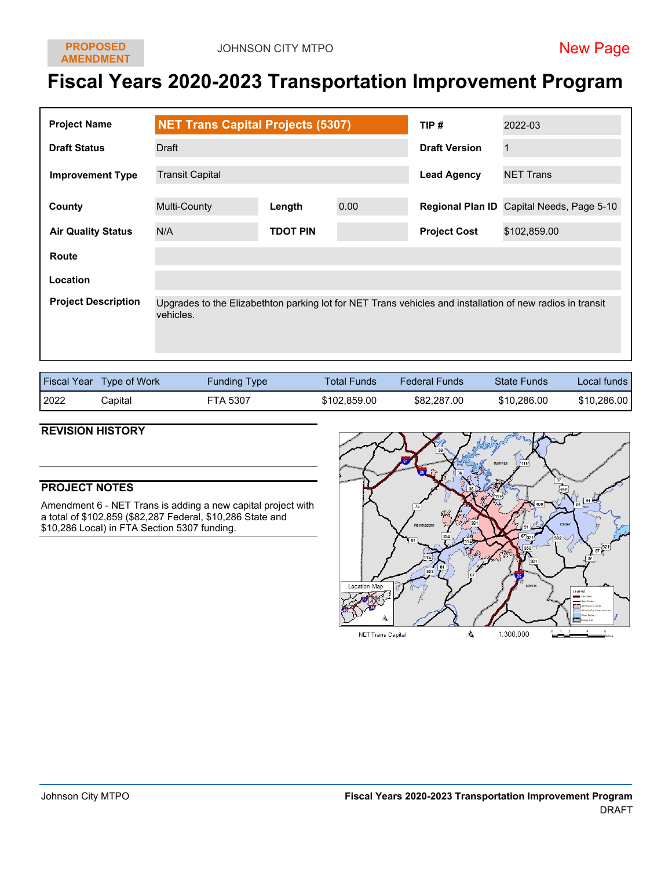## **Fiscal Years 2020-2023 Transportation Improvement Program**

| <b>Project Name</b>        | <b>NET Trans Capital Projects (5307)</b> |                 | TIP# | 2022-03              |                                                                                                           |
|----------------------------|------------------------------------------|-----------------|------|----------------------|-----------------------------------------------------------------------------------------------------------|
| <b>Draft Status</b>        | Draft                                    |                 |      | <b>Draft Version</b> | $\mathbf{1}$                                                                                              |
| <b>Improvement Type</b>    | <b>Transit Capital</b>                   |                 |      | <b>Lead Agency</b>   | <b>NET Trans</b>                                                                                          |
| County                     | Multi-County                             | Length          | 0.00 |                      | Regional Plan ID Capital Needs, Page 5-10                                                                 |
| <b>Air Quality Status</b>  | N/A                                      | <b>TDOT PIN</b> |      | <b>Project Cost</b>  | \$102,859.00                                                                                              |
| Route                      |                                          |                 |      |                      |                                                                                                           |
| Location                   |                                          |                 |      |                      |                                                                                                           |
| <b>Project Description</b> | vehicles.                                |                 |      |                      | Upgrades to the Elizabethton parking lot for NET Trans vehicles and installation of new radios in transit |

|      | <b>Fiscal Year</b> Type of Work | Funding Type | <b>Total Funds</b> | <b>Federal Funds</b> | <b>State Funds</b> | Local funds I |
|------|---------------------------------|--------------|--------------------|----------------------|--------------------|---------------|
| 2022 | Capital                         | FTA 5307     | \$102,859.00       | \$82,287.00          | \$10,286.00        | \$10,286.00   |

#### **REVISION HISTORY**

#### **PROJECT NOTES**

Amendment 6 - NET Trans is adding a new capital project with a total of \$102,859 (\$82,287 Federal, \$10,286 State and \$10,286 Local) in FTA Section 5307 funding.

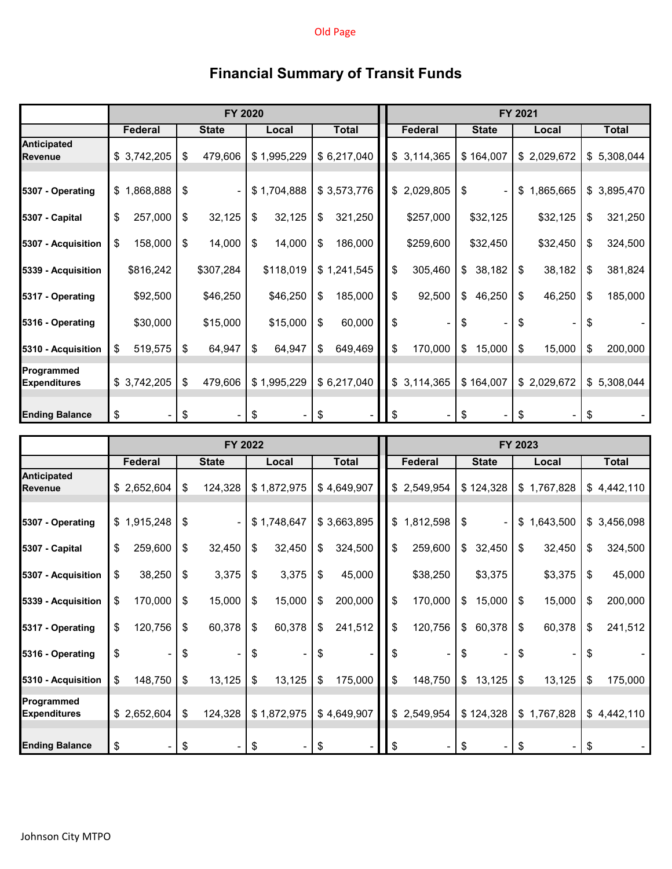#### Old Page

|                            |               | FY 2020       |              |               | FY 2021         |                      |                 |                 |  |  |
|----------------------------|---------------|---------------|--------------|---------------|-----------------|----------------------|-----------------|-----------------|--|--|
|                            | Federal       | <b>State</b>  | Local        | <b>Total</b>  | Federal         | <b>State</b>         | Local           | Total           |  |  |
| Anticipated<br>Revenue     | \$3,742,205   | \$<br>479,606 | \$1,995,229  | \$6,217,040   | \$3,114,365     | \$164,007            | \$2,029,672     | \$5,308,044     |  |  |
| 5307 - Operating           | \$1,868,888   | \$            | \$1,704,888  | \$3,573,776   | 2,029,805<br>\$ | \$<br>$\blacksquare$ | \$<br>1,865,665 | \$3,895,470     |  |  |
| 5307 - Capital             | 257,000<br>\$ | \$<br>32,125  | 32,125<br>\$ | 321,250<br>\$ | \$257,000       | \$32,125             | \$32,125        | 321,250<br>\$   |  |  |
| 5307 - Acquisition         | 158,000<br>\$ | 14,000<br>\$  | 14,000<br>\$ | 186,000<br>\$ | \$259,600       | \$32,450             | \$32,450        | 324,500<br>\$   |  |  |
| 5339 - Acquisition         | \$816,242     | \$307,284     | \$118,019    | \$1,241,545   | \$<br>305,460   | \$<br>38,182         | \$<br>38,182    | 381,824<br>\$   |  |  |
| 5317 - Operating           | \$92,500      | \$46,250      | \$46,250     | \$<br>185,000 | \$<br>92,500    | 46,250<br>\$         | \$<br>46,250    | 185,000<br>\$   |  |  |
| 5316 - Operating           | \$30,000      | \$15,000      | \$15,000     | 60,000<br>\$  | \$              | \$                   | \$              | \$              |  |  |
| 5310 - Acquisition         | 519,575<br>\$ | \$<br>64,947  | 64,947<br>\$ | \$<br>649,469 | \$<br>170,000   | 15,000<br>\$         | \$<br>15,000    | 200,000<br>\$   |  |  |
| Programmed<br>Expenditures | \$3,742,205   | \$<br>479,606 | \$1,995,229  | \$6,217,040   | \$3,114,365     | \$164,007            | \$2,029,672     | 5,308,044<br>\$ |  |  |
| <b>Ending Balance</b>      | \$            | \$            | \$           | \$            | \$              | \$                   | \$              | \$              |  |  |

| <b>Financial Summary of Transit Funds</b> |  |  |  |
|-------------------------------------------|--|--|--|
|-------------------------------------------|--|--|--|

|                                      |                |               | FY 2022      |               | FY 2023       |                                |                 |               |  |
|--------------------------------------|----------------|---------------|--------------|---------------|---------------|--------------------------------|-----------------|---------------|--|
|                                      | <b>Federal</b> | <b>State</b>  | Local        | <b>Total</b>  | Federal       | <b>State</b>                   | Local           | <b>Total</b>  |  |
| <b>Anticipated</b><br><b>Revenue</b> | \$2,652,604    | \$<br>124,328 | \$1,872,975  | \$4,649,907   | \$2,549,954   | \$124,328                      | \$1,767,828     | \$4,442,110   |  |
| 5307 - Operating                     | \$1,915,248    | \$            | \$1,748,647  | \$3,663,895   | \$1,812,598   | \$<br>$\overline{\phantom{a}}$ | \$<br>1,643,500 | \$3,456,098   |  |
| 5307 - Capital                       | \$<br>259,600  | \$<br>32,450  | \$<br>32,450 | \$<br>324,500 | \$<br>259,600 | 32,450<br>\$                   | \$<br>32,450    | \$<br>324,500 |  |
| 5307 - Acquisition                   | 38,250<br>\$   | \$<br>3,375   | 3,375<br>\$  | 45,000<br>\$  | \$38,250      | \$3,375                        | \$3,375         | 45,000<br>\$  |  |
| 5339 - Acquisition                   | 170,000<br>\$  | \$<br>15,000  | \$<br>15,000 | 200,000<br>\$ | \$<br>170,000 | 15,000<br>\$                   | \$<br>15,000    | 200,000<br>\$ |  |
| 5317 - Operating                     | \$<br>120,756  | \$<br>60,378  | \$<br>60,378 | 241,512<br>\$ | \$<br>120,756 | 60,378<br>\$                   | 60,378<br>\$    | \$<br>241,512 |  |
| 5316 - Operating                     | \$             | \$            | \$           | \$            | \$            | \$                             | \$              | \$            |  |
| 5310 - Acquisition                   | \$<br>148,750  | \$<br>13,125  | \$<br>13,125 | 175,000<br>\$ | \$<br>148,750 | 13,125<br>\$                   | \$<br>13,125    | \$<br>175,000 |  |
| Programmed<br><b>Expenditures</b>    | \$2,652,604    | \$<br>124,328 | \$1,872,975  | \$4,649,907   | \$2,549,954   | \$124,328                      | 1,767,828<br>\$ | \$4,442,110   |  |
| <b>Ending Balance</b>                | \$<br>۰.       | \$            | \$           | \$            | \$            | \$                             | \$              | \$            |  |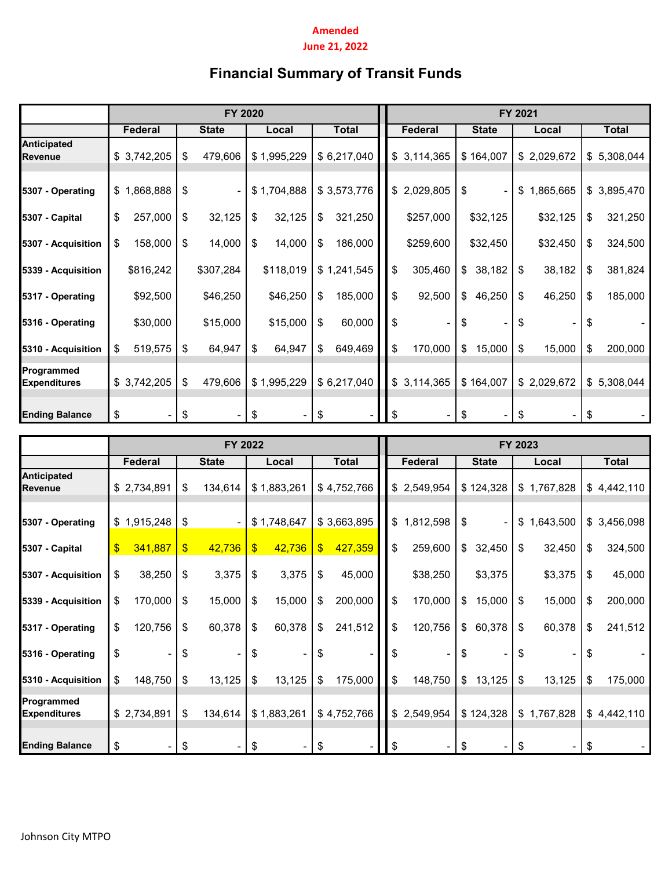#### **Amended June 21, 2022**

### **Financial Summary of Transit Funds**

|                                      |                 | FY 2020       |              |               | FY 2021         |              |                 |                 |  |  |
|--------------------------------------|-----------------|---------------|--------------|---------------|-----------------|--------------|-----------------|-----------------|--|--|
|                                      | Federal         | <b>State</b>  | Local        | <b>Total</b>  | Federal         | <b>State</b> | Local           | <b>Total</b>    |  |  |
| <b>Anticipated</b><br><b>Revenue</b> | \$3,742,205     | \$<br>479,606 | \$1,995,229  | \$6,217,040   | \$3,114,365     | \$164,007    | \$2,029,672     | \$<br>5,308,044 |  |  |
| 5307 - Operating                     | 1,868,888<br>\$ | \$            | \$1,704,888  | \$3,573,776   | 2,029,805<br>\$ | \$           | 1,865,665<br>\$ | 3,895,470<br>\$ |  |  |
| 5307 - Capital                       | \$<br>257,000   | \$<br>32,125  | 32,125<br>\$ | 321,250<br>\$ | \$257,000       | \$32,125     | \$32,125        | 321,250<br>\$   |  |  |
| 5307 - Acquisition                   | 158,000<br>\$   | 14,000<br>\$  | \$<br>14,000 | 186,000<br>\$ | \$259,600       | \$32,450     | \$32,450        | \$<br>324,500   |  |  |
| 5339 - Acquisition                   | \$816,242       | \$307,284     | \$118,019    | \$1,241,545   | \$<br>305,460   | 38,182<br>\$ | \$<br>38,182    | \$<br>381,824   |  |  |
| 5317 - Operating                     | \$92,500        | \$46,250      | \$46,250     | 185,000<br>\$ | \$<br>92,500    | 46,250<br>\$ | \$<br>46,250    | \$<br>185,000   |  |  |
| 5316 - Operating                     | \$30,000        | \$15,000      | \$15,000     | 60,000<br>\$  | \$              | S            | \$              | \$              |  |  |
| 5310 - Acquisition                   | 519,575<br>\$   | 64,947<br>\$  | 64,947<br>\$ | 649,469<br>\$ | \$<br>170,000   | 15,000<br>\$ | \$<br>15,000    | \$<br>200,000   |  |  |
| Programmed<br><b>Expenditures</b>    | \$3,742,205     | 479,606<br>\$ | \$1,995,229  | \$6,217,040   | \$3,114,365     | \$164,007    | \$2,029,672     | \$5,308,044     |  |  |
| <b>Ending Balance</b>                | \$              |               | S            |               | \$              | 8            |                 | \$              |  |  |

|                                      | FY 2022       |             |    |              |               |             |    |              | FY 2023 |                |               |                |    |             |    |              |
|--------------------------------------|---------------|-------------|----|--------------|---------------|-------------|----|--------------|---------|----------------|---------------|----------------|----|-------------|----|--------------|
|                                      |               | Federal     |    | <b>State</b> |               | Local       |    | <b>Total</b> |         | <b>Federal</b> |               | <b>State</b>   |    | Local       |    | <b>Total</b> |
| <b>Anticipated</b><br><b>Revenue</b> |               | \$2,734,891 | \$ | 134,614      |               | \$1,883,261 |    | \$4,752,766  |         | \$2,549,954    |               | \$124,328      |    | \$1,767,828 |    | \$4,442,110  |
| 5307 - Operating                     |               | \$1,915,248 | \$ |              |               | \$1,748,647 |    | \$3,663,895  |         | \$1,812,598    | \$            | $\blacksquare$ | \$ | 1,643,500   |    | \$3,456,098  |
| 5307 - Capital                       | $\sqrt[6]{3}$ | 341,887     | \$ | 42,736       | $\frac{1}{2}$ | 42,736      | \$ | 427,359      | \$      | 259,600        | \$            | 32,450         | \$ | 32,450      | \$ | 324,500      |
| 5307 - Acquisition                   | \$            | 38,250      | \$ | 3,375        | \$            | 3,375       | \$ | 45,000       |         | \$38,250       |               | \$3,375        |    | \$3,375     | \$ | 45,000       |
| 5339 - Acquisition                   | \$            | 170,000     | \$ | 15,000       | \$            | 15,000      | \$ | 200,000      | \$      | 170,000        | $\frac{1}{2}$ | 15,000         | \$ | 15,000      | \$ | 200,000      |
| 5317 - Operating                     | \$            | 120,756     | \$ | 60,378       | \$            | 60,378      | \$ | 241,512      | \$      | 120,756        | \$            | 60,378         | \$ | 60,378      | \$ | 241,512      |
| 5316 - Operating                     | \$            |             | \$ |              | \$            |             | \$ |              | \$      |                | \$            |                | \$ |             | -S |              |
| 5310 - Acquisition                   | \$            | 148,750     | \$ | 13,125       | \$            | 13,125      | \$ | 175,000      | \$      | 148,750        | \$            | 13,125         | \$ | 13,125      | \$ | 175,000      |
| Programmed<br><b>Expenditures</b>    |               | \$2,734,891 | \$ | 134,614      |               | \$1,883,261 |    | \$4,752,766  |         | \$2,549,954    |               | \$124,328      |    | \$1,767,828 |    | \$4,442,110  |
| <b>Ending Balance</b>                | \$            |             |    |              | \$            |             |    |              | \$      |                |               |                | S  |             | \$ |              |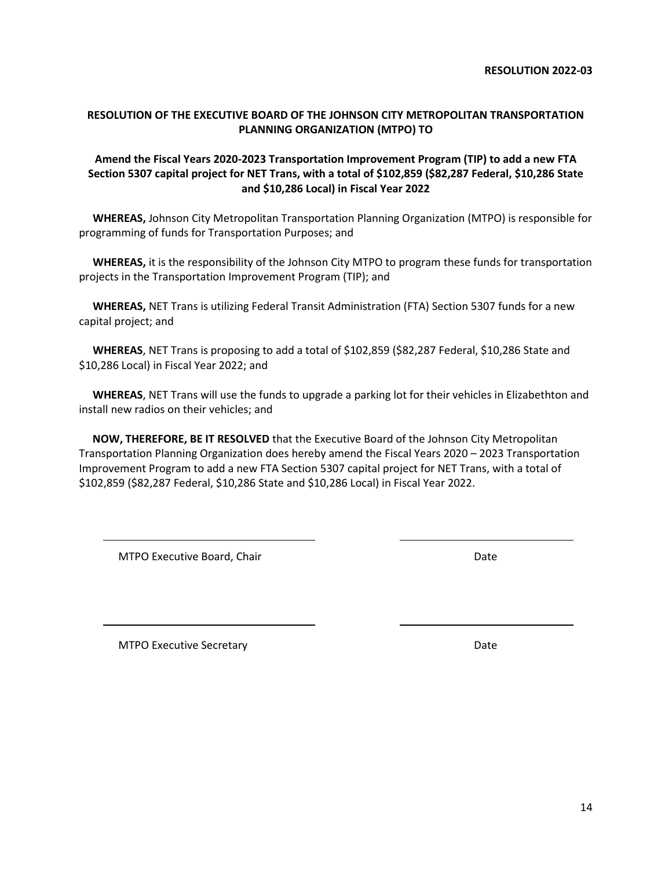14

**RESOLUTION 2022-03**

#### <span id="page-13-0"></span>**RESOLUTION OF THE EXECUTIVE BOARD OF THE JOHNSON CITY METROPOLITAN TRANSPORTATION PLANNING ORGANIZATION (MTPO) TO**

#### **Amend the Fiscal Years 2020-2023 Transportation Improvement Program (TIP) to add a new FTA Section 5307 capital project for NET Trans, with a total of \$102,859 (\$82,287 Federal, \$10,286 State and \$10,286 Local) in Fiscal Year 2022**

 **WHEREAS,** Johnson City Metropolitan Transportation Planning Organization (MTPO) is responsible for programming of funds for Transportation Purposes; and

 **WHEREAS,** it is the responsibility of the Johnson City MTPO to program these funds for transportation projects in the Transportation Improvement Program (TIP); and

 **WHEREAS,** NET Trans is utilizing Federal Transit Administration (FTA) Section 5307 funds for a new capital project; and

 **WHEREAS**, NET Trans is proposing to add a total of \$102,859 (\$82,287 Federal, \$10,286 State and \$10,286 Local) in Fiscal Year 2022; and

 **WHEREAS**, NET Trans will use the funds to upgrade a parking lot for their vehicles in Elizabethton and install new radios on their vehicles; and

 **NOW, THEREFORE, BE IT RESOLVED** that the Executive Board of the Johnson City Metropolitan Transportation Planning Organization does hereby amend the Fiscal Years 2020 – 2023 Transportation Improvement Program to add a new FTA Section 5307 capital project for NET Trans, with a total of \$102,859 (\$82,287 Federal, \$10,286 State and \$10,286 Local) in Fiscal Year 2022.

MTPO Executive Board, Chair Date Date Date

MTPO Executive Secretary **Date**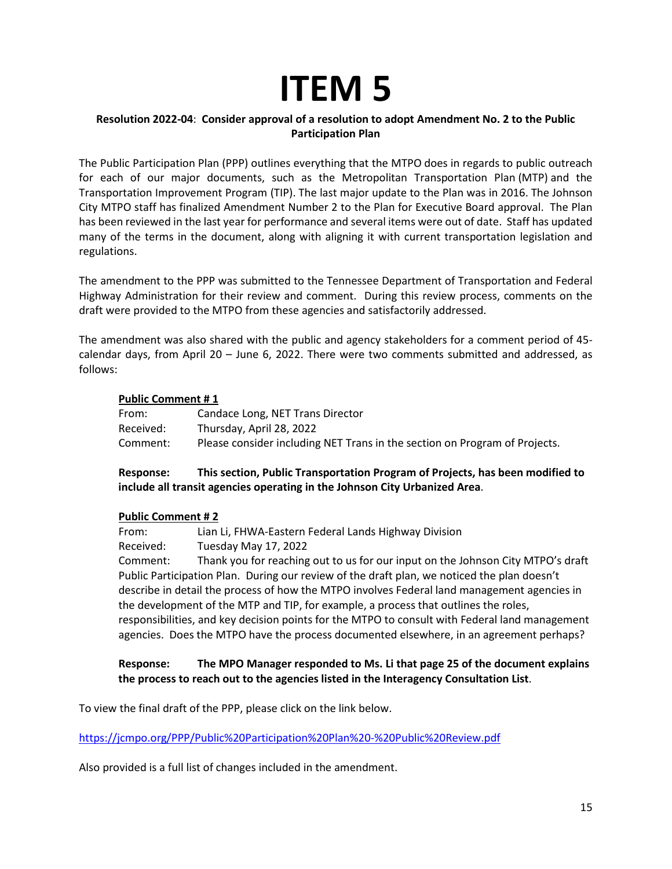## **ITEM 5**

#### <span id="page-14-0"></span>**Resolution 2022-04**: **Consider approval of a resolution to adopt Amendment No. 2 to the Public Participation Plan**

The Public Participation Plan (PPP) outlines everything that the MTPO does in regards to public outreach for each of our major documents, such as the Metropolitan Transportation Plan (MTP) and the Transportation Improvement Program (TIP). The last major update to the Plan was in 2016. The Johnson City MTPO staff has finalized Amendment Number 2 to the Plan for Executive Board approval. The Plan has been reviewed in the last year for performance and several items were out of date. Staff has updated many of the terms in the document, along with aligning it with current transportation legislation and regulations.

The amendment to the PPP was submitted to the Tennessee Department of Transportation and Federal Highway Administration for their review and comment. During this review process, comments on the draft were provided to the MTPO from these agencies and satisfactorily addressed.

The amendment was also shared with the public and agency stakeholders for a comment period of 45 calendar days, from April 20 – June 6, 2022. There were two comments submitted and addressed, as follows:

#### **Public Comment # 1**

| From:     | Candace Long, NET Trans Director                                           |
|-----------|----------------------------------------------------------------------------|
| Received: | Thursday, April 28, 2022                                                   |
| Comment:  | Please consider including NET Trans in the section on Program of Projects. |

#### **Response: This section, Public Transportation Program of Projects, has been modified to include all transit agencies operating in the Johnson City Urbanized Area**.

#### **Public Comment # 2**

From: Lian Li, FHWA-Eastern Federal Lands Highway Division Received: Tuesday May 17, 2022 Comment: Thank you for reaching out to us for our input on the Johnson City MTPO's draft Public Participation Plan. During our review of the draft plan, we noticed the plan doesn't describe in detail the process of how the MTPO involves Federal land management agencies in the development of the MTP and TIP, for example, a process that outlines the roles, responsibilities, and key decision points for the MTPO to consult with Federal land management agencies. Does the MTPO have the process documented elsewhere, in an agreement perhaps?

#### **Response: The MPO Manager responded to Ms. Li that page 25 of the document explains the process to reach out to the agencies listed in the Interagency Consultation List**.

To view the final draft of the PPP, please click on the link below.

<https://jcmpo.org/PPP/Public%20Participation%20Plan%20-%20Public%20Review.pdf>

Also provided is a full list of changes included in the amendment.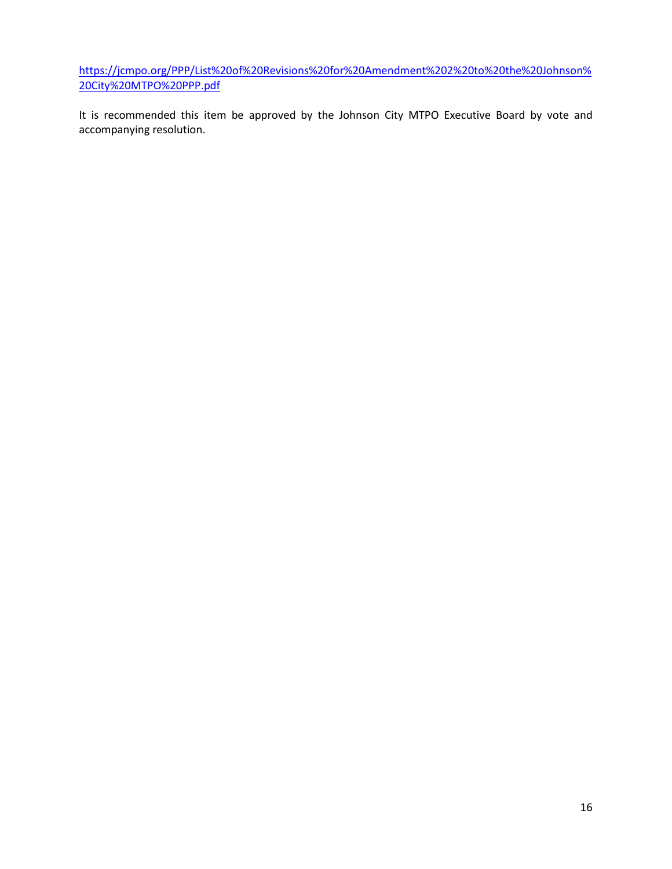[https://jcmpo.org/PPP/List%20of%20Revisions%20for%20Amendment%202%20to%20the%20Johnson%](https://jcmpo.org/PPP/List%20of%20Revisions%20for%20Amendment%202%20to%20the%20Johnson%20City%20MTPO%20PPP.pdf) [20City%20MTPO%20PPP.pdf](https://jcmpo.org/PPP/List%20of%20Revisions%20for%20Amendment%202%20to%20the%20Johnson%20City%20MTPO%20PPP.pdf)

It is recommended this item be approved by the Johnson City MTPO Executive Board by vote and accompanying resolution.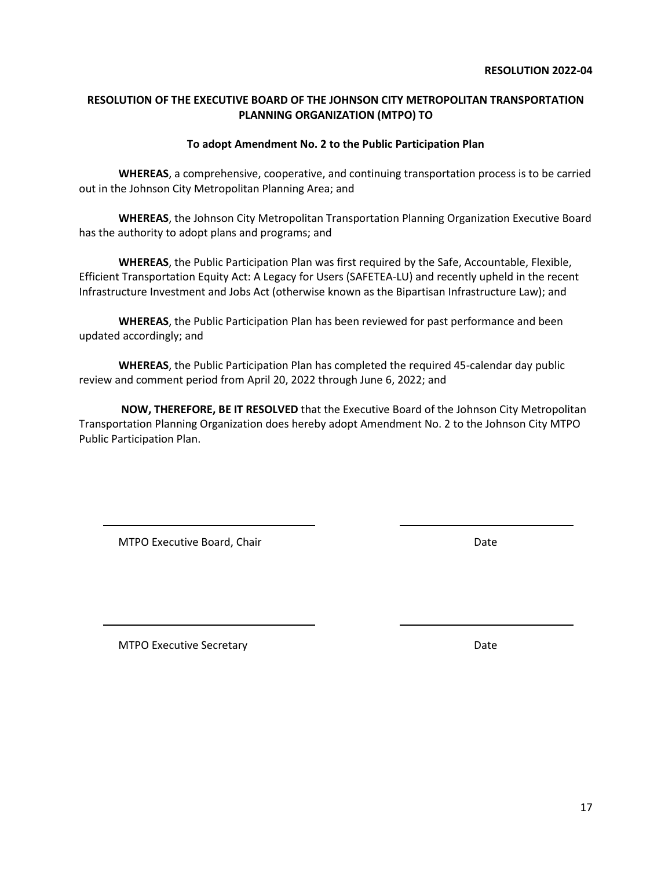17

#### **RESOLUTION 2022-04**

#### <span id="page-16-0"></span>**RESOLUTION OF THE EXECUTIVE BOARD OF THE JOHNSON CITY METROPOLITAN TRANSPORTATION PLANNING ORGANIZATION (MTPO) TO**

#### **To adopt Amendment No. 2 to the Public Participation Plan**

**WHEREAS**, a comprehensive, cooperative, and continuing transportation process is to be carried out in the Johnson City Metropolitan Planning Area; and

**WHEREAS**, the Johnson City Metropolitan Transportation Planning Organization Executive Board has the authority to adopt plans and programs; and

**WHEREAS**, the Public Participation Plan was first required by the Safe, Accountable, Flexible, Efficient Transportation Equity Act: A Legacy for Users (SAFETEA-LU) and recently upheld in the recent Infrastructure Investment and Jobs Act (otherwise known as the Bipartisan Infrastructure Law); and

**WHEREAS**, the Public Participation Plan has been reviewed for past performance and been updated accordingly; and

**WHEREAS**, the Public Participation Plan has completed the required 45-calendar day public review and comment period from April 20, 2022 through June 6, 2022; and

**NOW, THEREFORE, BE IT RESOLVED** that the Executive Board of the Johnson City Metropolitan Transportation Planning Organization does hereby adopt Amendment No. 2 to the Johnson City MTPO Public Participation Plan.

MTPO Executive Board, Chair Date Chair Date

MTPO Executive Secretary **Date**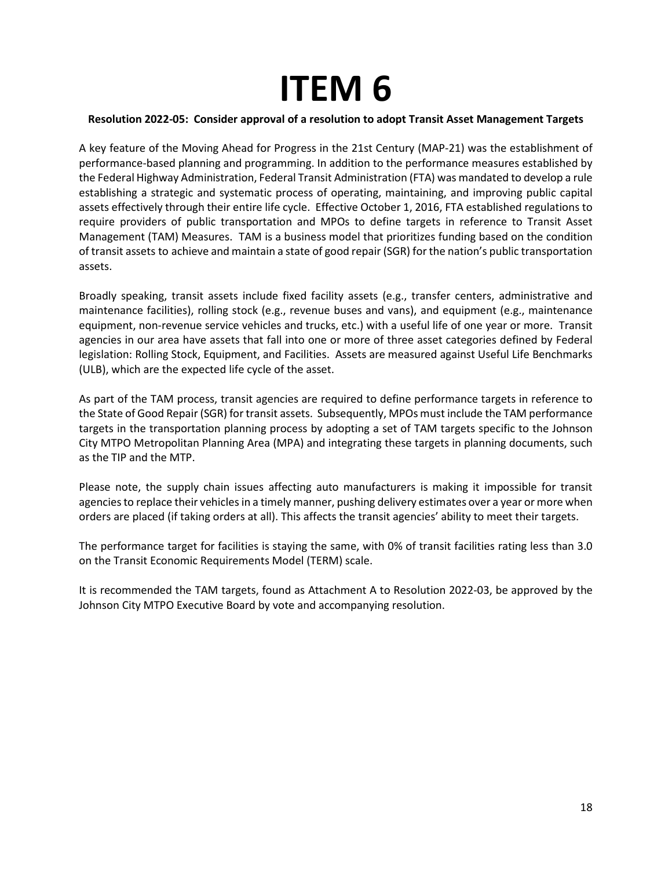## **ITEM 6**

#### <span id="page-17-0"></span>**Resolution 2022-05: Consider approval of a resolution to adopt Transit Asset Management Targets**

A key feature of the Moving Ahead for Progress in the 21st Century (MAP-21) was the establishment of performance-based planning and programming. In addition to the performance measures established by the Federal Highway Administration, Federal Transit Administration (FTA) was mandated to develop a rule establishing a strategic and systematic process of operating, maintaining, and improving public capital assets effectively through their entire life cycle. Effective October 1, 2016, FTA established regulations to require providers of public transportation and MPOs to define targets in reference to Transit Asset Management (TAM) Measures. TAM is a business model that prioritizes funding based on the condition of transit assets to achieve and maintain a state of good repair (SGR) for the nation's public transportation assets.

Broadly speaking, transit assets include fixed facility assets (e.g., transfer centers, administrative and maintenance facilities), rolling stock (e.g., revenue buses and vans), and equipment (e.g., maintenance equipment, non-revenue service vehicles and trucks, etc.) with a useful life of one year or more. Transit agencies in our area have assets that fall into one or more of three asset categories defined by Federal legislation: Rolling Stock, Equipment, and Facilities. Assets are measured against Useful Life Benchmarks (ULB), which are the expected life cycle of the asset.

As part of the TAM process, transit agencies are required to define performance targets in reference to the State of Good Repair (SGR) for transit assets. Subsequently, MPOs must include the TAM performance targets in the transportation planning process by adopting a set of TAM targets specific to the Johnson City MTPO Metropolitan Planning Area (MPA) and integrating these targets in planning documents, such as the TIP and the MTP.

Please note, the supply chain issues affecting auto manufacturers is making it impossible for transit agencies to replace their vehicles in a timely manner, pushing delivery estimates over a year or more when orders are placed (if taking orders at all). This affects the transit agencies' ability to meet their targets.

The performance target for facilities is staying the same, with 0% of transit facilities rating less than 3.0 on the Transit Economic Requirements Model (TERM) scale.

It is recommended the TAM targets, found as Attachment A to Resolution 2022-03, be approved by the Johnson City MTPO Executive Board by vote and accompanying resolution.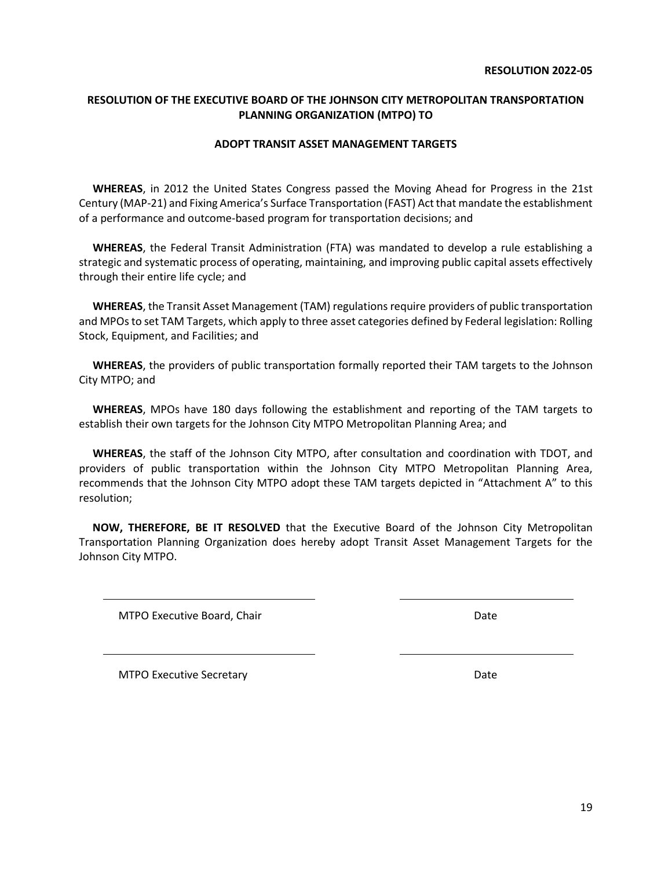#### <span id="page-18-0"></span>**RESOLUTION OF THE EXECUTIVE BOARD OF THE JOHNSON CITY METROPOLITAN TRANSPORTATION PLANNING ORGANIZATION (MTPO) TO**

#### **ADOPT TRANSIT ASSET MANAGEMENT TARGETS**

 **WHEREAS**, in 2012 the United States Congress passed the Moving Ahead for Progress in the 21st Century (MAP-21) and Fixing America's Surface Transportation (FAST) Act that mandate the establishment of a performance and outcome-based program for transportation decisions; and

 **WHEREAS**, the Federal Transit Administration (FTA) was mandated to develop a rule establishing a strategic and systematic process of operating, maintaining, and improving public capital assets effectively through their entire life cycle; and

 **WHEREAS**, the Transit Asset Management (TAM) regulations require providers of public transportation and MPOs to set TAM Targets, which apply to three asset categories defined by Federal legislation: Rolling Stock, Equipment, and Facilities; and

 **WHEREAS**, the providers of public transportation formally reported their TAM targets to the Johnson City MTPO; and

 **WHEREAS**, MPOs have 180 days following the establishment and reporting of the TAM targets to establish their own targets for the Johnson City MTPO Metropolitan Planning Area; and

 **WHEREAS**, the staff of the Johnson City MTPO, after consultation and coordination with TDOT, and providers of public transportation within the Johnson City MTPO Metropolitan Planning Area, recommends that the Johnson City MTPO adopt these TAM targets depicted in "Attachment A" to this resolution;

 **NOW, THEREFORE, BE IT RESOLVED** that the Executive Board of the Johnson City Metropolitan Transportation Planning Organization does hereby adopt Transit Asset Management Targets for the Johnson City MTPO.

MTPO Executive Board, Chair Date Date Date

MTPO Executive Secretary **Date**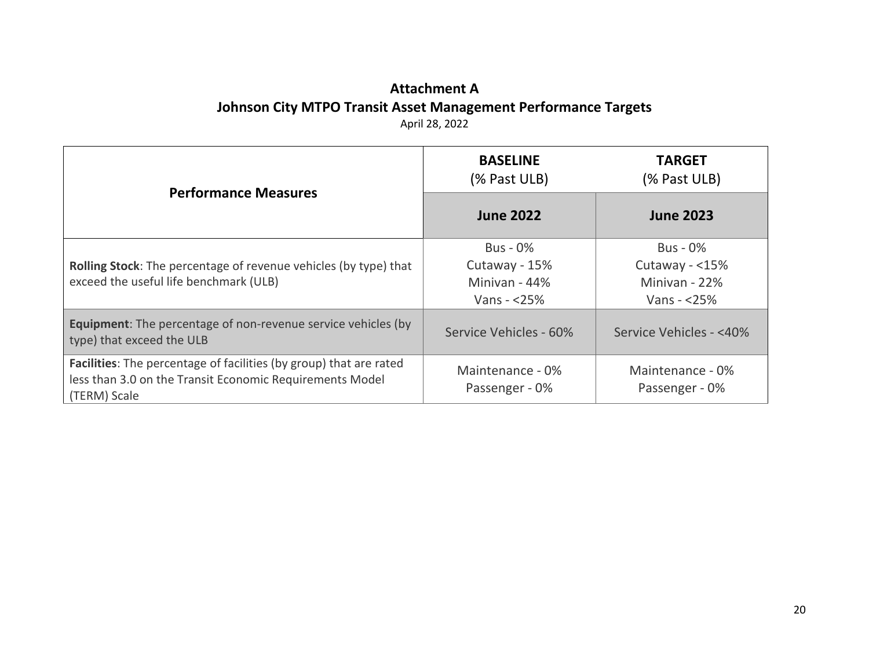#### **Attachment A Johnson City MTPO Transit Asset Management Performance Targets** April 28, 2022

| <b>Performance Measures</b>                                                                                                                    | <b>BASELINE</b><br>(% Past ULB)                                     | <b>TARGET</b><br>(% Past ULB)                                        |
|------------------------------------------------------------------------------------------------------------------------------------------------|---------------------------------------------------------------------|----------------------------------------------------------------------|
|                                                                                                                                                | <b>June 2022</b>                                                    | <b>June 2023</b>                                                     |
| Rolling Stock: The percentage of revenue vehicles (by type) that<br>exceed the useful life benchmark (ULB)                                     | <b>Bus - 0%</b><br>Cutaway - 15%<br>Minivan - 44%<br>Vans - $<$ 25% | <b>Bus - 0%</b><br>Cutaway - <15%<br>Minivan - 22%<br>Vans $- <$ 25% |
| <b>Equipment:</b> The percentage of non-revenue service vehicles (by<br>type) that exceed the ULB                                              | Service Vehicles - 60%                                              | Service Vehicles - <40%                                              |
| Facilities: The percentage of facilities (by group) that are rated<br>less than 3.0 on the Transit Economic Requirements Model<br>(TERM) Scale | Maintenance - 0%<br>Passenger - 0%                                  | Maintenance - 0%<br>Passenger - 0%                                   |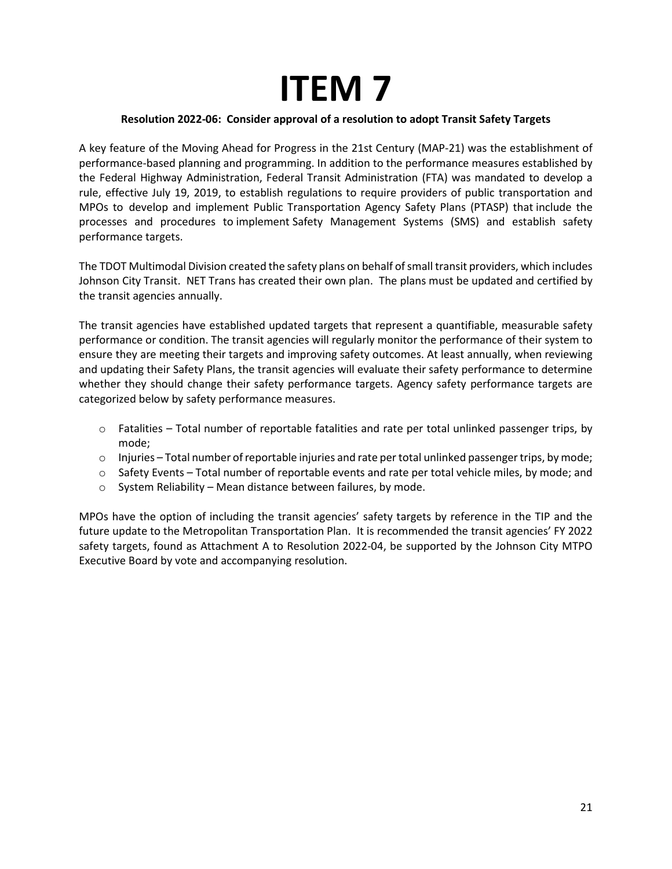## **ITEM 7**

#### **Resolution 2022-06: Consider approval of a resolution to adopt Transit Safety Targets**

<span id="page-20-0"></span>A key feature of the Moving Ahead for Progress in the 21st Century (MAP-21) was the establishment of performance-based planning and programming. In addition to the performance measures established by the Federal Highway Administration, Federal Transit Administration (FTA) was mandated to develop a rule, effective July 19, 2019, to establish regulations to require providers of public transportation and MPOs to develop and implement Public Transportation Agency Safety Plans (PTASP) that include the processes and procedures to implement Safety Management Systems (SMS) and establish safety performance targets.

The TDOT Multimodal Division created the safety plans on behalf of small transit providers, which includes Johnson City Transit. NET Trans has created their own plan. The plans must be updated and certified by the transit agencies annually.

The transit agencies have established updated targets that represent a quantifiable, measurable safety performance or condition. The transit agencies will regularly monitor the performance of their system to ensure they are meeting their targets and improving safety outcomes. At least annually, when reviewing and updating their Safety Plans, the transit agencies will evaluate their safety performance to determine whether they should change their safety performance targets. Agency safety performance targets are categorized below by safety performance measures.

- $\circ$  Fatalities Total number of reportable fatalities and rate per total unlinked passenger trips, by mode;
- $\circ$  Injuries Total number of reportable injuries and rate per total unlinked passenger trips, by mode;
- o Safety Events Total number of reportable events and rate per total vehicle miles, by mode; and
- o System Reliability Mean distance between failures, by mode.

MPOs have the option of including the transit agencies' safety targets by reference in the TIP and the future update to the Metropolitan Transportation Plan. It is recommended the transit agencies' FY 2022 safety targets, found as Attachment A to Resolution 2022-04, be supported by the Johnson City MTPO Executive Board by vote and accompanying resolution.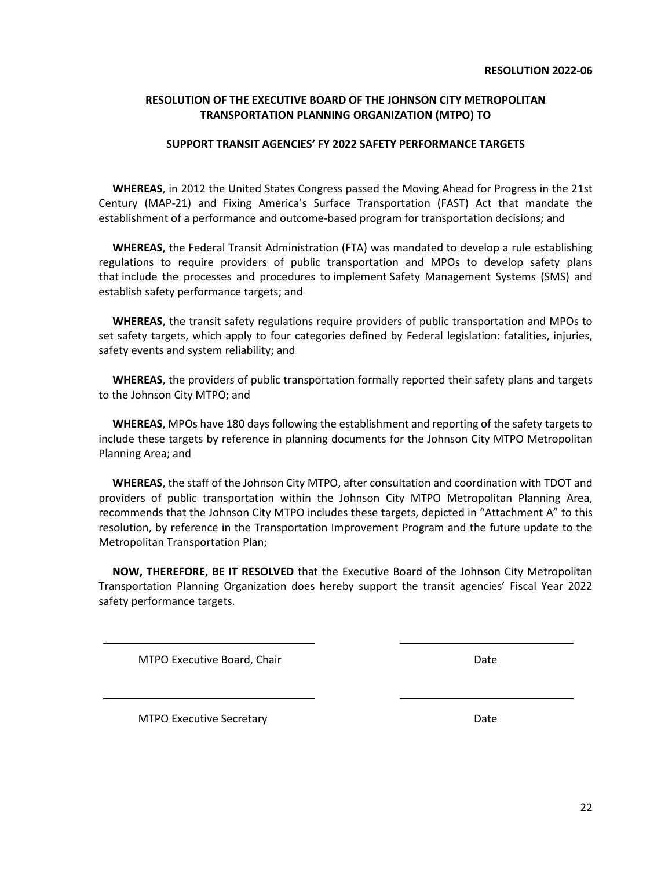#### <span id="page-21-0"></span>**RESOLUTION OF THE EXECUTIVE BOARD OF THE JOHNSON CITY METROPOLITAN TRANSPORTATION PLANNING ORGANIZATION (MTPO) TO**

#### **SUPPORT TRANSIT AGENCIES' FY 2022 SAFETY PERFORMANCE TARGETS**

 **WHEREAS**, in 2012 the United States Congress passed the Moving Ahead for Progress in the 21st Century (MAP-21) and Fixing America's Surface Transportation (FAST) Act that mandate the establishment of a performance and outcome-based program for transportation decisions; and

 **WHEREAS**, the Federal Transit Administration (FTA) was mandated to develop a rule establishing regulations to require providers of public transportation and MPOs to develop safety plans that include the processes and procedures to implement Safety Management Systems (SMS) and establish safety performance targets; and

 **WHEREAS**, the transit safety regulations require providers of public transportation and MPOs to set safety targets, which apply to four categories defined by Federal legislation: fatalities, injuries, safety events and system reliability; and

 **WHEREAS**, the providers of public transportation formally reported their safety plans and targets to the Johnson City MTPO; and

 **WHEREAS**, MPOs have 180 days following the establishment and reporting of the safety targets to include these targets by reference in planning documents for the Johnson City MTPO Metropolitan Planning Area; and

 **WHEREAS**, the staff of the Johnson City MTPO, after consultation and coordination with TDOT and providers of public transportation within the Johnson City MTPO Metropolitan Planning Area, recommends that the Johnson City MTPO includes these targets, depicted in "Attachment A" to this resolution, by reference in the Transportation Improvement Program and the future update to the Metropolitan Transportation Plan;

 **NOW, THEREFORE, BE IT RESOLVED** that the Executive Board of the Johnson City Metropolitan Transportation Planning Organization does hereby support the transit agencies' Fiscal Year 2022 safety performance targets.

MTPO Executive Board, Chair Date Chair Date Date

MTPO Executive Secretary **Date**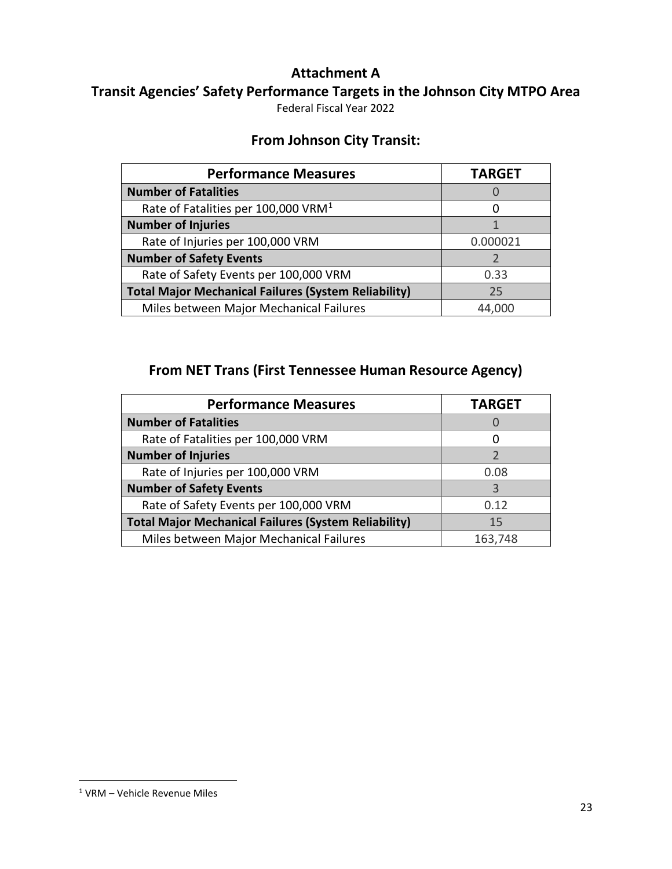#### **Attachment A**

**Transit Agencies' Safety Performance Targets in the Johnson City MTPO Area**

Federal Fiscal Year 2022

#### **From Johnson City Transit:**

| <b>Performance Measures</b>                                 | <b>TARGET</b> |
|-------------------------------------------------------------|---------------|
| <b>Number of Fatalities</b>                                 |               |
| Rate of Fatalities per 100,000 VRM <sup>1</sup>             |               |
| <b>Number of Injuries</b>                                   |               |
| Rate of Injuries per 100,000 VRM                            | 0.000021      |
| <b>Number of Safety Events</b>                              |               |
| Rate of Safety Events per 100,000 VRM                       | 0.33          |
| <b>Total Major Mechanical Failures (System Reliability)</b> | 25            |
| Miles between Major Mechanical Failures                     |               |

### **From NET Trans (First Tennessee Human Resource Agency)**

| <b>Performance Measures</b>                                 | <b>TARGET</b> |
|-------------------------------------------------------------|---------------|
| <b>Number of Fatalities</b>                                 |               |
| Rate of Fatalities per 100,000 VRM                          |               |
| <b>Number of Injuries</b>                                   |               |
| Rate of Injuries per 100,000 VRM                            | 0.08          |
| <b>Number of Safety Events</b>                              |               |
| Rate of Safety Events per 100,000 VRM                       | 0.12          |
| <b>Total Major Mechanical Failures (System Reliability)</b> | 15            |
| Miles between Major Mechanical Failures                     | 163,748       |

<span id="page-22-0"></span><sup>1</sup> VRM – Vehicle Revenue Miles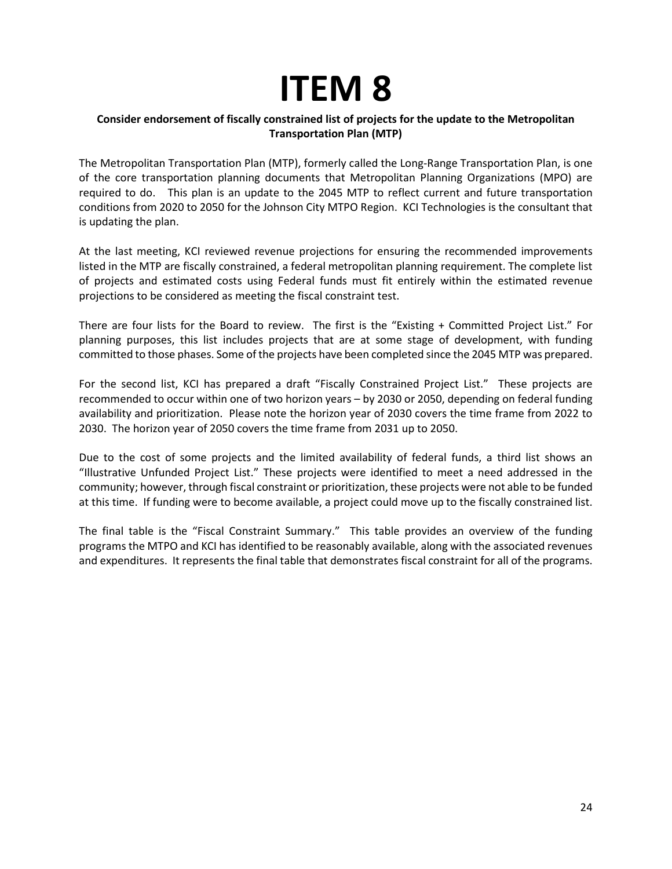## **ITEM 8**

#### <span id="page-23-0"></span>**Consider endorsement of fiscally constrained list of projects for the update to the Metropolitan Transportation Plan (MTP)**

The Metropolitan Transportation Plan (MTP), formerly called the Long-Range Transportation Plan, is one of the core transportation planning documents that Metropolitan Planning Organizations (MPO) are required to do. This plan is an update to the 2045 MTP to reflect current and future transportation conditions from 2020 to 2050 for the Johnson City MTPO Region. KCI Technologies is the consultant that is updating the plan.

At the last meeting, KCI reviewed revenue projections for ensuring the recommended improvements listed in the MTP are fiscally constrained, a federal metropolitan planning requirement. The complete list of projects and estimated costs using Federal funds must fit entirely within the estimated revenue projections to be considered as meeting the fiscal constraint test.

There are four lists for the Board to review. The first is the "Existing + Committed Project List." For planning purposes, this list includes projects that are at some stage of development, with funding committed to those phases. Some of the projects have been completed since the 2045 MTP was prepared.

For the second list, KCI has prepared a draft "Fiscally Constrained Project List." These projects are recommended to occur within one of two horizon years – by 2030 or 2050, depending on federal funding availability and prioritization. Please note the horizon year of 2030 covers the time frame from 2022 to 2030. The horizon year of 2050 covers the time frame from 2031 up to 2050.

Due to the cost of some projects and the limited availability of federal funds, a third list shows an "Illustrative Unfunded Project List." These projects were identified to meet a need addressed in the community; however, through fiscal constraint or prioritization, these projects were not able to be funded at this time. If funding were to become available, a project could move up to the fiscally constrained list.

The final table is the "Fiscal Constraint Summary." This table provides an overview of the funding programs the MTPO and KCI has identified to be reasonably available, along with the associated revenues and expenditures. It represents the final table that demonstrates fiscal constraint for all of the programs.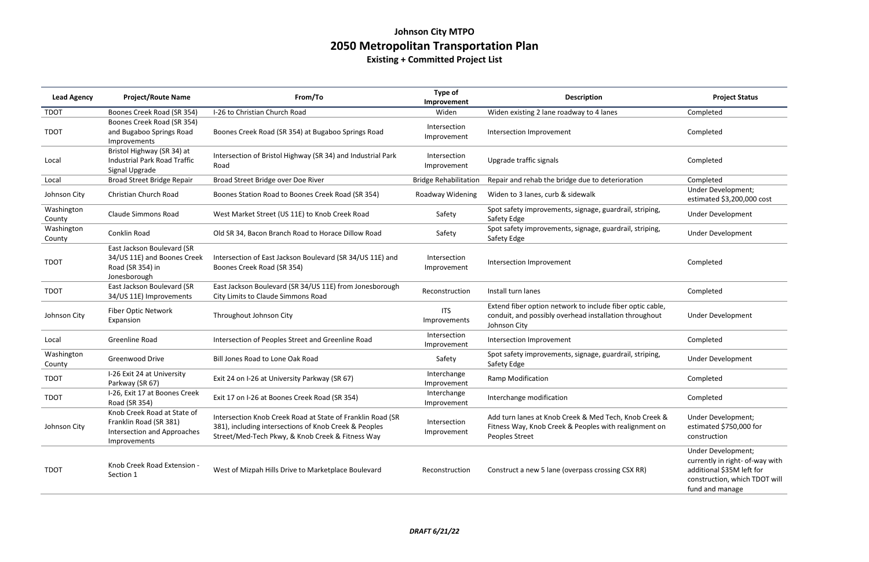## **Johnson City MTPO 2050 Metropolitan Transportation Plan**

| <b>Lead Agency</b>   | <b>Project/Route Name</b>                                                                            | From/To                                                                                                                                                                 | Type of<br>Improvement       | <b>Description</b>                                                                                                                  | <b>Project Status</b>                                                                                                                  |
|----------------------|------------------------------------------------------------------------------------------------------|-------------------------------------------------------------------------------------------------------------------------------------------------------------------------|------------------------------|-------------------------------------------------------------------------------------------------------------------------------------|----------------------------------------------------------------------------------------------------------------------------------------|
| <b>TDOT</b>          | Boones Creek Road (SR 354)                                                                           | I-26 to Christian Church Road                                                                                                                                           | Widen                        | Widen existing 2 lane roadway to 4 lanes                                                                                            | Completed                                                                                                                              |
| <b>TDOT</b>          | Boones Creek Road (SR 354)<br>and Bugaboo Springs Road<br>Improvements                               | Boones Creek Road (SR 354) at Bugaboo Springs Road                                                                                                                      | Intersection<br>Improvement  | Intersection Improvement                                                                                                            | Completed                                                                                                                              |
| Local                | Bristol Highway (SR 34) at<br><b>Industrial Park Road Traffic</b><br>Signal Upgrade                  | Intersection of Bristol Highway (SR 34) and Industrial Park<br>Road                                                                                                     | Intersection<br>Improvement  | Upgrade traffic signals                                                                                                             | Completed                                                                                                                              |
| Local                | Broad Street Bridge Repair                                                                           | Broad Street Bridge over Doe River                                                                                                                                      | <b>Bridge Rehabilitation</b> | Repair and rehab the bridge due to deterioration                                                                                    | Completed                                                                                                                              |
| Johnson City         | Christian Church Road                                                                                | Boones Station Road to Boones Creek Road (SR 354)                                                                                                                       | Roadway Widening             | Widen to 3 lanes, curb & sidewalk                                                                                                   | Under Development;<br>estimated \$3,200,000 cost                                                                                       |
| Washington<br>County | <b>Claude Simmons Road</b>                                                                           | West Market Street (US 11E) to Knob Creek Road                                                                                                                          | Safety                       | Spot safety improvements, signage, guardrail, striping,<br>Safety Edge                                                              | <b>Under Development</b>                                                                                                               |
| Washington<br>County | Conklin Road                                                                                         | Old SR 34, Bacon Branch Road to Horace Dillow Road                                                                                                                      | Safety                       | Spot safety improvements, signage, guardrail, striping,<br>Safety Edge                                                              | <b>Under Development</b>                                                                                                               |
| <b>TDOT</b>          | East Jackson Boulevard (SR<br>34/US 11E) and Boones Creek<br>Road (SR 354) in<br>Jonesborough        | Intersection of East Jackson Boulevard (SR 34/US 11E) and<br>Boones Creek Road (SR 354)                                                                                 | Intersection<br>Improvement  | Intersection Improvement                                                                                                            | Completed                                                                                                                              |
| <b>TDOT</b>          | East Jackson Boulevard (SR<br>34/US 11E) Improvements                                                | East Jackson Boulevard (SR 34/US 11E) from Jonesborough<br>City Limits to Claude Simmons Road                                                                           | Reconstruction               | Install turn lanes                                                                                                                  | Completed                                                                                                                              |
| Johnson City         | Fiber Optic Network<br>Expansion                                                                     | Throughout Johnson City                                                                                                                                                 | <b>ITS</b><br>Improvements   | Extend fiber option network to include fiber optic cable,<br>conduit, and possibly overhead installation throughout<br>Johnson City | <b>Under Development</b>                                                                                                               |
| Local                | Greenline Road                                                                                       | Intersection of Peoples Street and Greenline Road                                                                                                                       | Intersection<br>Improvement  | Intersection Improvement                                                                                                            | Completed                                                                                                                              |
| Washington<br>County | <b>Greenwood Drive</b>                                                                               | Bill Jones Road to Lone Oak Road                                                                                                                                        | Safety                       | Spot safety improvements, signage, guardrail, striping,<br>Safety Edge                                                              | <b>Under Development</b>                                                                                                               |
| <b>TDOT</b>          | I-26 Exit 24 at University<br>Parkway (SR 67)                                                        | Exit 24 on I-26 at University Parkway (SR 67)                                                                                                                           | Interchange<br>Improvement   | Ramp Modification                                                                                                                   | Completed                                                                                                                              |
| <b>TDOT</b>          | I-26, Exit 17 at Boones Creek<br>Road (SR 354)                                                       | Exit 17 on I-26 at Boones Creek Road (SR 354)                                                                                                                           | Interchange<br>Improvement   | Interchange modification                                                                                                            | Completed                                                                                                                              |
| Johnson City         | Knob Creek Road at State of<br>Franklin Road (SR 381)<br>Intersection and Approaches<br>Improvements | Intersection Knob Creek Road at State of Franklin Road (SR<br>381), including intersections of Knob Creek & Peoples<br>Street/Med-Tech Pkwy, & Knob Creek & Fitness Way | Intersection<br>Improvement  | Add turn lanes at Knob Creek & Med Tech, Knob Creek &<br>Fitness Way, Knob Creek & Peoples with realignment on<br>Peoples Street    | Under Development;<br>estimated \$750,000 for<br>construction                                                                          |
| <b>TDOT</b>          | Knob Creek Road Extension -<br>Section 1                                                             | West of Mizpah Hills Drive to Marketplace Boulevard                                                                                                                     | Reconstruction               | Construct a new 5 lane (overpass crossing CSX RR)                                                                                   | Under Development;<br>currently in right- of-way with<br>additional \$35M left for<br>construction, which TDOT will<br>fund and manage |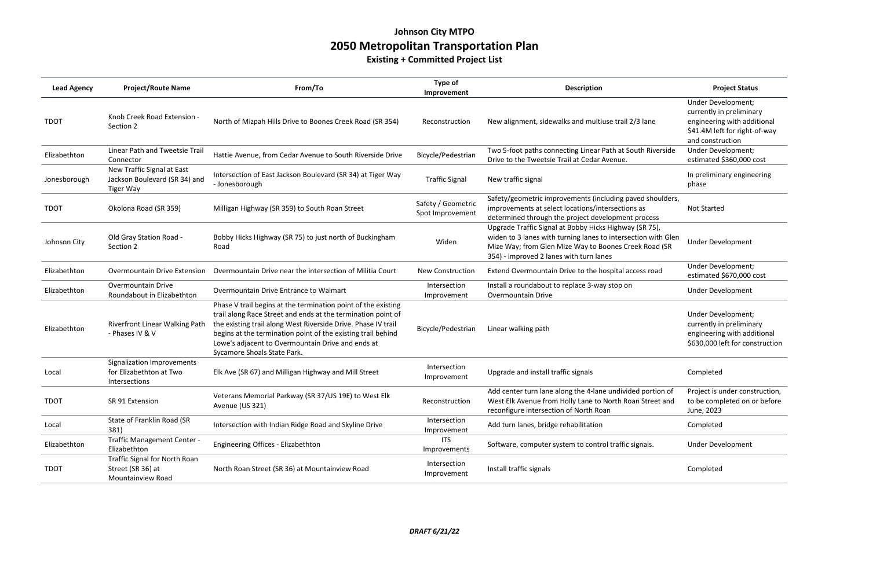## **Johnson City MTPO 2050 Metropolitan Transportation Plan**

**Existing + Committed Project List**

| <b>Lead Agency</b> | <b>Project/Route Name</b>                                                       | From/To                                                                                                                                                                                                                                                                                                                                            | Type of<br>Improvement                 | <b>Description</b>                                                                                                                                                                                                          | <b>Project Status</b>                                                                                                              |
|--------------------|---------------------------------------------------------------------------------|----------------------------------------------------------------------------------------------------------------------------------------------------------------------------------------------------------------------------------------------------------------------------------------------------------------------------------------------------|----------------------------------------|-----------------------------------------------------------------------------------------------------------------------------------------------------------------------------------------------------------------------------|------------------------------------------------------------------------------------------------------------------------------------|
| <b>TDOT</b>        | Knob Creek Road Extension -<br>Section 2                                        | North of Mizpah Hills Drive to Boones Creek Road (SR 354)                                                                                                                                                                                                                                                                                          | Reconstruction                         | New alignment, sidewalks and multiuse trail 2/3 lane                                                                                                                                                                        | Under Development;<br>currently in preliminary<br>engineering with additional<br>\$41.4M left for right-of-way<br>and construction |
| Elizabethton       | Linear Path and Tweetsie Trail<br>Connector                                     | Hattie Avenue, from Cedar Avenue to South Riverside Drive                                                                                                                                                                                                                                                                                          | Bicycle/Pedestrian                     | Two 5-foot paths connecting Linear Path at South Riverside<br>Drive to the Tweetsie Trail at Cedar Avenue.                                                                                                                  | Under Development;<br>estimated \$360,000 cost                                                                                     |
| Jonesborough       | New Traffic Signal at East<br>Jackson Boulevard (SR 34) and<br><b>Tiger Way</b> | Intersection of East Jackson Boulevard (SR 34) at Tiger Way<br>- Jonesborough                                                                                                                                                                                                                                                                      | <b>Traffic Signal</b>                  | New traffic signal                                                                                                                                                                                                          | In preliminary engineering<br>phase                                                                                                |
| <b>TDOT</b>        | Okolona Road (SR 359)                                                           | Milligan Highway (SR 359) to South Roan Street                                                                                                                                                                                                                                                                                                     | Safety / Geometric<br>Spot Improvement | Safety/geometric improvements (including paved shoulders,<br>improvements at select locations/intersections as<br>determined through the project development process                                                        | <b>Not Started</b>                                                                                                                 |
| Johnson City       | Old Gray Station Road -<br>Section 2                                            | Bobby Hicks Highway (SR 75) to just north of Buckingham<br>Road                                                                                                                                                                                                                                                                                    | Widen                                  | Upgrade Traffic Signal at Bobby Hicks Highway (SR 75),<br>widen to 3 lanes with turning lanes to intersection with Glen<br>Mize Way; from Glen Mize Way to Boones Creek Road (SR<br>354) - improved 2 lanes with turn lanes | Under Development                                                                                                                  |
| Elizabethton       | <b>Overmountain Drive Extension</b>                                             | Overmountain Drive near the intersection of Militia Court                                                                                                                                                                                                                                                                                          | <b>New Construction</b>                | Extend Overmountain Drive to the hospital access road                                                                                                                                                                       | Under Development;<br>estimated \$670,000 cost                                                                                     |
| Elizabethton       | <b>Overmountain Drive</b><br>Roundabout in Elizabethton                         | Overmountain Drive Entrance to Walmart                                                                                                                                                                                                                                                                                                             | Intersection<br>Improvement            | Install a roundabout to replace 3-way stop on<br><b>Overmountain Drive</b>                                                                                                                                                  | Under Development                                                                                                                  |
| Elizabethton       | Riverfront Linear Walking Path<br>- Phases IV & V                               | Phase V trail begins at the termination point of the existing<br>trail along Race Street and ends at the termination point of<br>the existing trail along West Riverside Drive. Phase IV trail<br>begins at the termination point of the existing trail behind<br>Lowe's adjacent to Overmountain Drive and ends at<br>Sycamore Shoals State Park. | Bicycle/Pedestrian                     | Linear walking path                                                                                                                                                                                                         | Under Development;<br>currently in preliminary<br>engineering with additional<br>\$630,000 left for construction                   |
| Local              | Signalization Improvements<br>for Elizabethton at Two<br>Intersections          | Elk Ave (SR 67) and Milligan Highway and Mill Street                                                                                                                                                                                                                                                                                               | Intersection<br>Improvement            | Upgrade and install traffic signals                                                                                                                                                                                         | Completed                                                                                                                          |
| <b>TDOT</b>        | SR 91 Extension                                                                 | Veterans Memorial Parkway (SR 37/US 19E) to West Elk<br>Avenue (US 321)                                                                                                                                                                                                                                                                            | Reconstruction                         | Add center turn lane along the 4-lane undivided portion of<br>West Elk Avenue from Holly Lane to North Roan Street and<br>reconfigure intersection of North Roan                                                            | Project is under construction,<br>to be completed on or before<br>June, 2023                                                       |
| Local              | State of Franklin Road (SR<br>381)                                              | Intersection with Indian Ridge Road and Skyline Drive                                                                                                                                                                                                                                                                                              | Intersection<br>Improvement            | Add turn lanes, bridge rehabilitation                                                                                                                                                                                       | Completed                                                                                                                          |
| Elizabethton       | Traffic Management Center -<br>Elizabethton                                     | Engineering Offices - Elizabethton                                                                                                                                                                                                                                                                                                                 | ITS<br>Improvements                    | Software, computer system to control traffic signals.                                                                                                                                                                       | <b>Under Development</b>                                                                                                           |
| <b>TDOT</b>        | <b>Traffic Signal for North Roan</b><br>Street (SR 36) at<br>Mountainview Road  | North Roan Street (SR 36) at Mountainview Road                                                                                                                                                                                                                                                                                                     | Intersection<br>Improvement            | Install traffic signals                                                                                                                                                                                                     | Completed                                                                                                                          |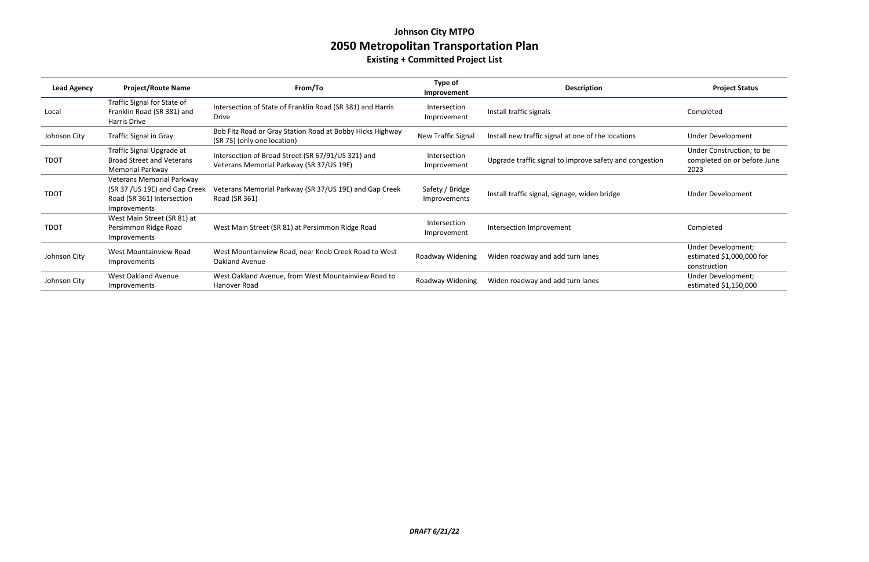## **Johnson City MTPO 2050 Metropolitan Transportation Plan**

### **Existing + Committed Project List**

| <b>Lead Agency</b> | <b>Project/Route Name</b>                                                                                 | From/To                                                                                        | Type of<br>Improvement          | <b>Description</b>                                      | <b>Project Status</b>                                            |
|--------------------|-----------------------------------------------------------------------------------------------------------|------------------------------------------------------------------------------------------------|---------------------------------|---------------------------------------------------------|------------------------------------------------------------------|
| Local              | Traffic Signal for State of<br>Franklin Road (SR 381) and<br>Harris Drive                                 | Intersection of State of Franklin Road (SR 381) and Harris<br><b>Drive</b>                     | Intersection<br>Improvement     | Install traffic signals                                 | Completed                                                        |
| Johnson City       | <b>Traffic Signal in Gray</b>                                                                             | Bob Fitz Road or Gray Station Road at Bobby Hicks Highway<br>(SR 75) (only one location)       | New Traffic Signal              | Install new traffic signal at one of the locations      | <b>Under Development</b>                                         |
| <b>TDOT</b>        | Traffic Signal Upgrade at<br><b>Broad Street and Veterans</b><br><b>Memorial Parkway</b>                  | Intersection of Broad Street (SR 67/91/US 321) and<br>Veterans Memorial Parkway (SR 37/US 19E) | Intersection<br>Improvement     | Upgrade traffic signal to improve safety and congestion | Under Construction; to be<br>completed on or before June<br>2023 |
| <b>TDOT</b>        | Veterans Memorial Parkway<br>(SR 37 / US 19E) and Gap Creek<br>Road (SR 361) Intersection<br>Improvements | Veterans Memorial Parkway (SR 37/US 19E) and Gap Creek<br>Road (SR 361)                        | Safety / Bridge<br>Improvements | Install traffic signal, signage, widen bridge           | <b>Under Development</b>                                         |
| <b>TDOT</b>        | West Main Street (SR 81) at<br>Persimmon Ridge Road<br>Improvements                                       | West Main Street (SR 81) at Persimmon Ridge Road                                               | Intersection<br>Improvement     | Intersection Improvement                                | Completed                                                        |
| Johnson City       | West Mountainview Road<br>Improvements                                                                    | West Mountainview Road, near Knob Creek Road to West<br>Oakland Avenue                         | Roadway Widening                | Widen roadway and add turn lanes                        | Under Development;<br>estimated $$1,000,000$ for<br>construction |
| Johnson City       | West Oakland Avenue<br>Improvements                                                                       | West Oakland Avenue, from West Mountainview Road to<br>Hanover Road                            | Roadway Widening                | Widen roadway and add turn lanes                        | Under Development;<br>estimated \$1,150,000                      |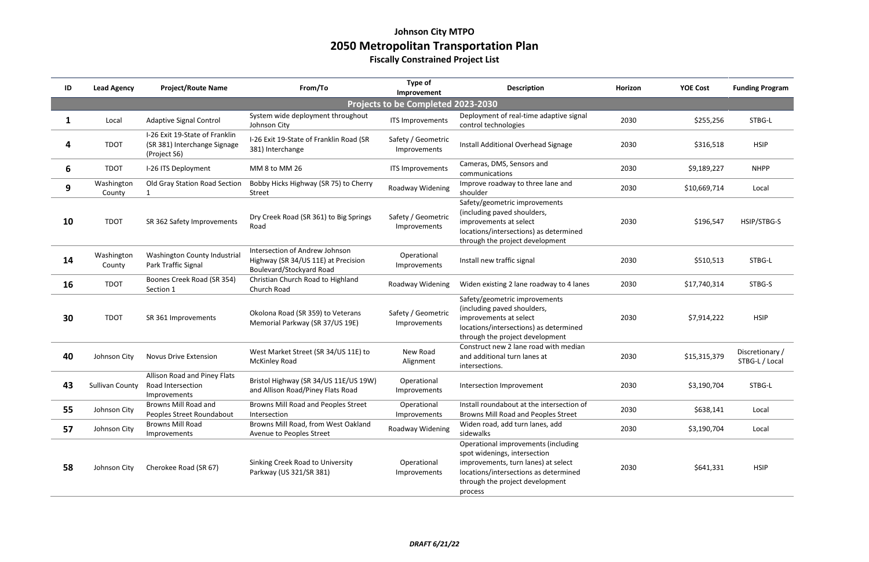### **Johnson City MTPO 2050 Metropolitan Transportation Plan Fiscally Constrained Project List**

| ID | <b>Lead Agency</b>   | <b>Project/Route Name</b>                                                      | From/To                                                                                                  | Type of<br>Improvement             | <b>Description</b>                                                                                                                                                                                | Horizon | <b>YOE Cost</b> | <b>Funding Program</b>            |
|----|----------------------|--------------------------------------------------------------------------------|----------------------------------------------------------------------------------------------------------|------------------------------------|---------------------------------------------------------------------------------------------------------------------------------------------------------------------------------------------------|---------|-----------------|-----------------------------------|
|    |                      |                                                                                |                                                                                                          | Projects to be Completed 2023-2030 |                                                                                                                                                                                                   |         |                 |                                   |
|    | Local                | <b>Adaptive Signal Control</b>                                                 | System wide deployment throughout<br>Johnson City                                                        | ITS Improvements                   | Deployment of real-time adaptive signal<br>control technologies                                                                                                                                   | 2030    | \$255,256       | STBG-L                            |
| 4  | <b>TDOT</b>          | I-26 Exit 19-State of Franklin<br>(SR 381) Interchange Signage<br>(Project S6) | I-26 Exit 19-State of Franklin Road (SR<br>381) Interchange                                              | Safety / Geometric<br>Improvements | Install Additional Overhead Signage                                                                                                                                                               | 2030    | \$316,518       | <b>HSIP</b>                       |
| 6  | <b>TDOT</b>          | I-26 ITS Deployment                                                            | MM 8 to MM 26                                                                                            | <b>ITS Improvements</b>            | Cameras, DMS, Sensors and<br>communications                                                                                                                                                       | 2030    | \$9,189,227     | <b>NHPP</b>                       |
| 9  | Washington<br>County | Old Gray Station Road Section                                                  | Bobby Hicks Highway (SR 75) to Cherry<br><b>Street</b>                                                   | Roadway Widening                   | Improve roadway to three lane and<br>shoulder                                                                                                                                                     | 2030    | \$10,669,714    | Local                             |
| 10 | <b>TDOT</b>          | SR 362 Safety Improvements                                                     | Dry Creek Road (SR 361) to Big Springs<br>Road                                                           | Safety / Geometric<br>Improvements | Safety/geometric improvements<br>(including paved shoulders,<br>improvements at select<br>locations/intersections) as determined<br>through the project development                               | 2030    | \$196,547       | HSIP/STBG-S                       |
| 14 | Washington<br>County | Washington County Industrial<br>Park Traffic Signal                            | Intersection of Andrew Johnson<br>Highway (SR 34/US 11E) at Precision<br><b>Boulevard/Stockyard Road</b> | Operational<br>Improvements        | Install new traffic signal                                                                                                                                                                        | 2030    | \$510,513       | STBG-L                            |
| 16 | <b>TDOT</b>          | Boones Creek Road (SR 354)<br>Section 1                                        | Christian Church Road to Highland<br>Church Road                                                         | Roadway Widening                   | Widen existing 2 lane roadway to 4 lanes                                                                                                                                                          | 2030    | \$17,740,314    | STBG-S                            |
| 30 | <b>TDOT</b>          | SR 361 Improvements                                                            | Okolona Road (SR 359) to Veterans<br>Memorial Parkway (SR 37/US 19E)                                     | Safety / Geometric<br>Improvements | Safety/geometric improvements<br>(including paved shoulders,<br>improvements at select<br>locations/intersections) as determined<br>through the project development                               | 2030    | \$7,914,222     | <b>HSIP</b>                       |
| 40 | Johnson City         | <b>Novus Drive Extension</b>                                                   | West Market Street (SR 34/US 11E) to<br><b>McKinley Road</b>                                             | New Road<br>Alignment              | Construct new 2 lane road with median<br>and additional turn lanes at<br>intersections.                                                                                                           | 2030    | \$15,315,379    | Discretionary /<br>STBG-L / Local |
| 43 | Sullivan County      | Allison Road and Piney Flats<br>Road Intersection<br>Improvements              | Bristol Highway (SR 34/US 11E/US 19W)<br>and Allison Road/Piney Flats Road                               | Operational<br><b>Improvements</b> | Intersection Improvement                                                                                                                                                                          | 2030    | \$3,190,704     | STBG-L                            |
| 55 | Johnson City         | <b>Browns Mill Road and</b><br>Peoples Street Roundabout                       | Browns Mill Road and Peoples Street<br>Intersection                                                      | Operational<br>Improvements        | Install roundabout at the intersection of<br>Browns Mill Road and Peoples Street                                                                                                                  | 2030    | \$638,141       | Local                             |
| 57 | Johnson City         | <b>Browns Mill Road</b><br>Improvements                                        | Browns Mill Road, from West Oakland<br>Avenue to Peoples Street                                          | Roadway Widening                   | Widen road, add turn lanes, add<br>sidewalks                                                                                                                                                      | 2030    | \$3,190,704     | Local                             |
| 58 | Johnson City         | Cherokee Road (SR 67)                                                          | Sinking Creek Road to University<br>Parkway (US 321/SR 381)                                              | Operational<br>Improvements        | Operational improvements (including<br>spot widenings, intersection<br>improvements, turn lanes) at select<br>locations/intersections as determined<br>through the project development<br>process | 2030    | \$641,331       | <b>HSIP</b>                       |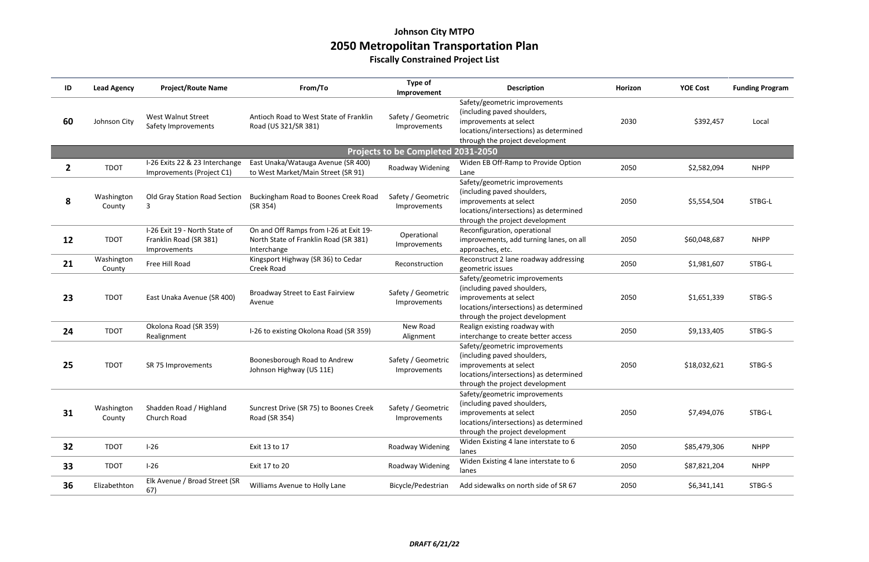### **Johnson City MTPO 2050 Metropolitan Transportation Plan Fiscally Constrained Project List**

| ID | <b>Lead Agency</b>   | <b>Project/Route Name</b>                                               | From/To                                                                                        | Type of<br>Improvement             | <b>Description</b>                                                                                                                                                  | Horizon | <b>YOE Cost</b> | <b>Funding Program</b> |
|----|----------------------|-------------------------------------------------------------------------|------------------------------------------------------------------------------------------------|------------------------------------|---------------------------------------------------------------------------------------------------------------------------------------------------------------------|---------|-----------------|------------------------|
| 60 | Johnson City         | West Walnut Street<br>Safety Improvements                               | Antioch Road to West State of Franklin<br>Road (US 321/SR 381)                                 | Safety / Geometric<br>Improvements | Safety/geometric improvements<br>(including paved shoulders,<br>improvements at select<br>locations/intersections) as determined<br>through the project development | 2030    | \$392,457       | Local                  |
|    |                      |                                                                         |                                                                                                | Projects to be Completed 2031-2050 |                                                                                                                                                                     |         |                 |                        |
| 2  | <b>TDOT</b>          | I-26 Exits 22 & 23 Interchange<br>Improvements (Project C1)             | East Unaka/Watauga Avenue (SR 400)<br>to West Market/Main Street (SR 91)                       | Roadway Widening                   | Widen EB Off-Ramp to Provide Option<br>Lane                                                                                                                         | 2050    | \$2,582,094     | <b>NHPP</b>            |
| 8  | Washington<br>County | Old Gray Station Road Section<br>3                                      | Buckingham Road to Boones Creek Road<br>(SR 354)                                               | Safety / Geometric<br>Improvements | Safety/geometric improvements<br>(including paved shoulders,<br>improvements at select<br>locations/intersections) as determined<br>through the project development | 2050    | \$5,554,504     | STBG-L                 |
| 12 | <b>TDOT</b>          | I-26 Exit 19 - North State of<br>Franklin Road (SR 381)<br>Improvements | On and Off Ramps from I-26 at Exit 19-<br>North State of Franklin Road (SR 381)<br>Interchange | Operational<br>Improvements        | Reconfiguration, operational<br>improvements, add turning lanes, on all<br>approaches, etc.                                                                         | 2050    | \$60,048,687    | <b>NHPP</b>            |
| 21 | Washington<br>County | Free Hill Road                                                          | Kingsport Highway (SR 36) to Cedar<br>Creek Road                                               | Reconstruction                     | Reconstruct 2 lane roadway addressing<br>geometric issues                                                                                                           | 2050    | \$1,981,607     | STBG-L                 |
| 23 | <b>TDOT</b>          | East Unaka Avenue (SR 400)                                              | Broadway Street to East Fairview<br>Avenue                                                     | Safety / Geometric<br>Improvements | Safety/geometric improvements<br>(including paved shoulders,<br>improvements at select<br>locations/intersections) as determined<br>through the project development | 2050    | \$1,651,339     | STBG-S                 |
| 24 | <b>TDOT</b>          | Okolona Road (SR 359)<br>Realignment                                    | I-26 to existing Okolona Road (SR 359)                                                         | New Road<br>Alignment              | Realign existing roadway with<br>interchange to create better access                                                                                                | 2050    | \$9,133,405     | STBG-S                 |
| 25 | <b>TDOT</b>          | SR 75 Improvements                                                      | Boonesborough Road to Andrew<br>Johnson Highway (US 11E)                                       | Safety / Geometric<br>Improvements | Safety/geometric improvements<br>(including paved shoulders,<br>improvements at select<br>locations/intersections) as determined<br>through the project development | 2050    | \$18,032,621    | STBG-S                 |
| 31 | Washington<br>County | Shadden Road / Highland<br>Church Road                                  | Suncrest Drive (SR 75) to Boones Creek<br>Road (SR 354)                                        | Safety / Geometric<br>Improvements | Safety/geometric improvements<br>(including paved shoulders,<br>improvements at select<br>locations/intersections) as determined<br>through the project development | 2050    | \$7,494,076     | STBG-L                 |
| 32 | <b>TDOT</b>          | $I-26$                                                                  | Exit 13 to 17                                                                                  | Roadway Widening                   | Widen Existing 4 lane interstate to 6<br>lanes                                                                                                                      | 2050    | \$85,479,306    | <b>NHPP</b>            |
| 33 | <b>TDOT</b>          | $I-26$                                                                  | Exit 17 to 20                                                                                  | Roadway Widening                   | Widen Existing 4 lane interstate to 6<br>lanes                                                                                                                      | 2050    | \$87,821,204    | <b>NHPP</b>            |
| 36 | Elizabethton         | Elk Avenue / Broad Street (SR<br>67)                                    | Williams Avenue to Holly Lane                                                                  | Bicycle/Pedestrian                 | Add sidewalks on north side of SR 67                                                                                                                                | 2050    | \$6,341,141     | STBG-S                 |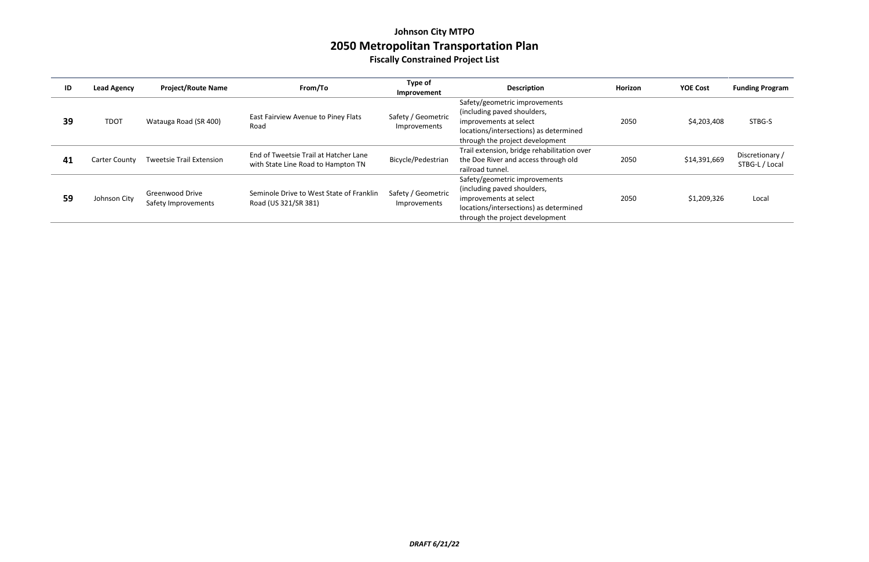### **Johnson City MTPO 2050 Metropolitan Transportation Plan Fiscally Constrained Project List**

| ID | <b>Lead Agency</b>   | <b>Project/Route Name</b>              | From/To                                                                     | Type of<br>Improvement             | <b>Description</b>                                                                                                                                                  | Horizon | <b>YOE Cost</b> | <b>Funding Program</b>            |
|----|----------------------|----------------------------------------|-----------------------------------------------------------------------------|------------------------------------|---------------------------------------------------------------------------------------------------------------------------------------------------------------------|---------|-----------------|-----------------------------------|
| 39 | <b>TDOT</b>          | Watauga Road (SR 400)                  | East Fairview Avenue to Piney Flats<br>Road                                 | Safety / Geometric<br>Improvements | Safety/geometric improvements<br>(including paved shoulders,<br>improvements at select<br>locations/intersections) as determined<br>through the project development | 2050    | \$4,203,408     | STBG-S                            |
| 41 | <b>Carter County</b> | <b>Tweetsie Trail Extension</b>        | End of Tweetsie Trail at Hatcher Lane<br>with State Line Road to Hampton TN | Bicycle/Pedestrian                 | Trail extension, bridge rehabilitation over<br>the Doe River and access through old<br>railroad tunnel.                                                             | 2050    | \$14,391,669    | Discretionary /<br>STBG-L / Local |
| 59 | Johnson City         | Greenwood Drive<br>Safety Improvements | Seminole Drive to West State of Franklin<br>Road (US 321/SR 381)            | Safety / Geometric<br>Improvements | Safety/geometric improvements<br>(including paved shoulders,<br>improvements at select<br>locations/intersections) as determined<br>through the project development | 2050    | \$1,209,326     | Local                             |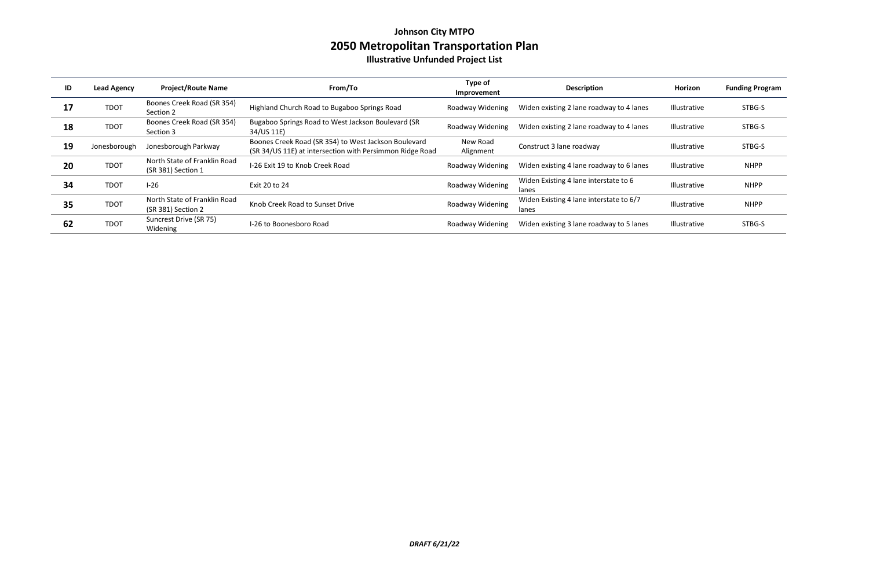### **Johnson City MTPO 2050 Metropolitan Transportation Plan Illustrative Unfunded Project List**

| ID | <b>Lead Agency</b> | <b>Project/Route Name</b>                          | From/To                                                                                                          | Type of<br>Improvement | <b>Description</b>                               | <b>Horizon</b>      | <b>Funding Program</b> |
|----|--------------------|----------------------------------------------------|------------------------------------------------------------------------------------------------------------------|------------------------|--------------------------------------------------|---------------------|------------------------|
| 17 | <b>TDOT</b>        | Boones Creek Road (SR 354)<br>Section 2            | Highland Church Road to Bugaboo Springs Road                                                                     | Roadway Widening       | Widen existing 2 lane roadway to 4 lanes         | Illustrative        | STBG-S                 |
| 18 | <b>TDOT</b>        | Boones Creek Road (SR 354)<br>Section 3            | Bugaboo Springs Road to West Jackson Boulevard (SR<br>34/US 11E)                                                 | Roadway Widening       | Widen existing 2 lane roadway to 4 lanes         | Illustrative        | STBG-S                 |
| 19 | Jonesborough       | Jonesborough Parkway                               | Boones Creek Road (SR 354) to West Jackson Boulevard<br>(SR 34/US 11E) at intersection with Persimmon Ridge Road | New Road<br>Alignment  | Construct 3 lane roadway                         | <b>Illustrative</b> | STBG-S                 |
| 20 | <b>TDOT</b>        | North State of Franklin Road<br>(SR 381) Section 1 | I-26 Exit 19 to Knob Creek Road                                                                                  | Roadway Widening       | Widen existing 4 lane roadway to 6 lanes         | Illustrative        | <b>NHPP</b>            |
| 34 | <b>TDOT</b>        | $I-26$                                             | Exit 20 to 24                                                                                                    | Roadway Widening       | Widen Existing 4 lane interstate to 6<br>lanes   | Illustrative        | <b>NHPP</b>            |
| 35 | <b>TDOT</b>        | North State of Franklin Road<br>(SR 381) Section 2 | Knob Creek Road to Sunset Drive                                                                                  | Roadway Widening       | Widen Existing 4 lane interstate to 6/7<br>lanes | <b>Illustrative</b> | <b>NHPP</b>            |
| 62 | <b>TDOT</b>        | Suncrest Drive (SR 75)<br>Widening                 | I-26 to Boonesboro Road                                                                                          | Roadway Widening       | Widen existing 3 lane roadway to 5 lanes         | Illustrative        | STBG-S                 |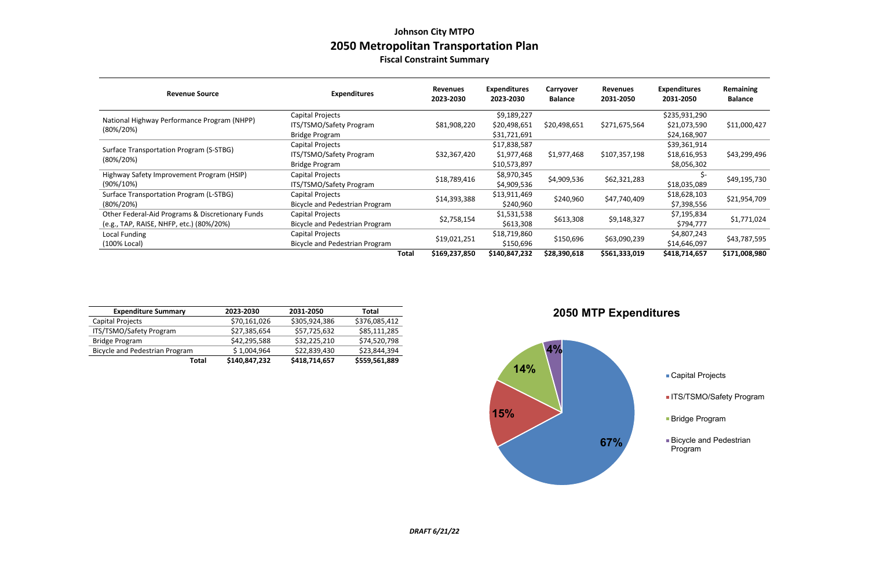### **Johnson City MTPO 2050 Metropolitan Transportation Plan Fiscal Constraint Summary**

| <b>Revenue Source</b>                            | <b>Expenditures</b>                   | <b>Revenues</b><br>2023-2030 | <b>Expenditures</b><br>2023-2030 | Carryover<br><b>Balance</b> | <b>Revenues</b><br>2031-2050 | <b>Expenditures</b><br>2031-2050 | Remaining<br><b>Balance</b> |
|--------------------------------------------------|---------------------------------------|------------------------------|----------------------------------|-----------------------------|------------------------------|----------------------------------|-----------------------------|
| National Highway Performance Program (NHPP)      | Capital Projects                      |                              | \$9,189,227                      |                             |                              | \$235,931,290                    |                             |
|                                                  | ITS/TSMO/Safety Program               | \$81,908,220                 | \$20,498,651                     | \$20,498,651                | \$271,675,564                | \$21,073,590                     | \$11,000,427                |
| $(80\%/20\%)$                                    | <b>Bridge Program</b>                 |                              | \$31,721,691                     |                             |                              | \$24,168,907                     |                             |
|                                                  | Capital Projects                      |                              | \$17,838,587                     |                             |                              | \$39,361,914                     |                             |
| Surface Transportation Program (S-STBG)          | ITS/TSMO/Safety Program               | \$32,367,420                 | \$1,977,468                      | \$1,977,468                 | \$107,357,198                | \$18,616,953                     | \$43,299,496                |
| $(80\%/20\%)$                                    | Bridge Program                        |                              | \$10,573,897                     |                             |                              | \$8,056,302                      |                             |
| Highway Safety Improvement Program (HSIP)        | Capital Projects                      |                              | \$8,970,345                      | \$4,909,536                 | \$62,321,283                 |                                  | \$49,195,730                |
| $(90\%/10\%)$                                    | ITS/TSMO/Safety Program               | \$18,789,416                 | \$4,909,536                      |                             |                              | \$18,035,089                     |                             |
| Surface Transportation Program (L-STBG)          | Capital Projects                      | \$14,393,388                 | \$13,911,469                     | \$240,960                   | \$47,740,409                 | \$18,628,103                     | \$21,954,709                |
| $(80\%/20\%)$                                    | Bicycle and Pedestrian Program        |                              | \$240,960                        |                             |                              | \$7,398,556                      |                             |
| Other Federal-Aid Programs & Discretionary Funds | Capital Projects                      |                              | \$1,531,538                      |                             |                              | \$7,195,834                      |                             |
| (e.g., TAP, RAISE, NHFP, etc.) (80%/20%)         | Bicycle and Pedestrian Program        | \$2,758,154                  | \$613,308                        | \$613,308                   | \$9,148,327                  | \$794,777                        | \$1,771,024                 |
| <b>Local Funding</b>                             | Capital Projects                      |                              | \$18,719,860                     |                             |                              | \$4,807,243                      |                             |
| (100% Local)                                     | <b>Bicycle and Pedestrian Program</b> | \$19,021,251                 | \$150,696                        | \$150,696                   | \$63,090,239                 | \$14,646,097                     | \$43,787,595                |
|                                                  | Total                                 | \$169,237,850                | \$140,847,232                    | \$28,390,618                | \$561,333,019                | \$418,714,657                    | \$171,008,980               |

- Capital Projects
- **ITS/TSMO/Safety Program**
- Bridge Program
- Bicycle and Pedestrian Program

| <b>Expenditure Summary</b>            | 2023-2030     | 2031-2050     | Total         |
|---------------------------------------|---------------|---------------|---------------|
| Capital Projects                      | \$70,161,026  | \$305,924,386 | \$376,085,412 |
| ITS/TSMO/Safety Program               | \$27,385,654  | \$57,725,632  | \$85,111,285  |
| <b>Bridge Program</b>                 | \$42,295,588  | \$32,225,210  | \$74,520,798  |
| <b>Bicycle and Pedestrian Program</b> | \$1,004,964   | \$22,839,430  | \$23,844,394  |
| Total                                 | \$140,847,232 | \$418,714,657 | \$559,561,889 |